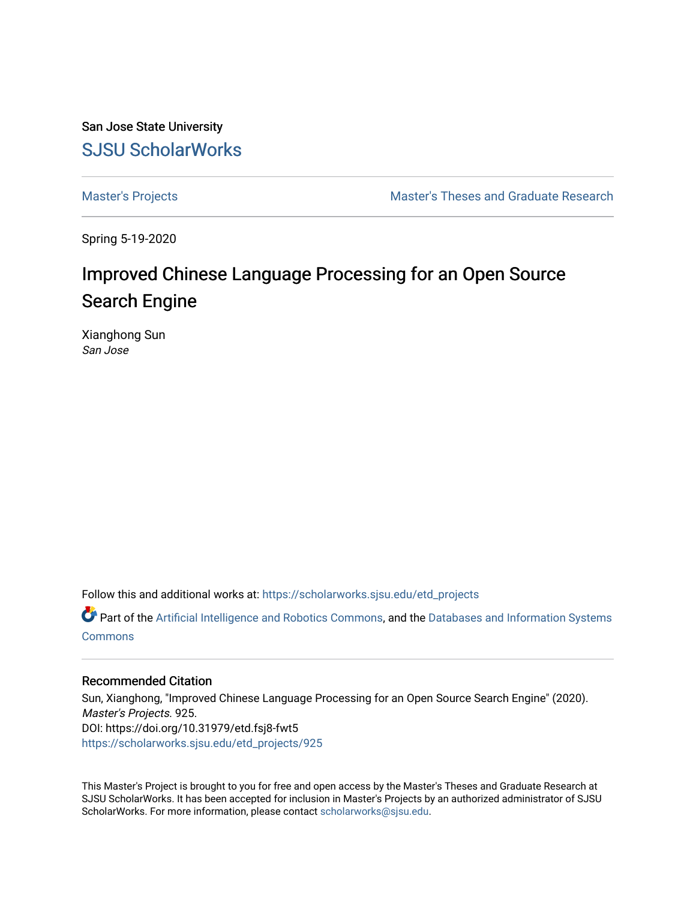San Jose State University [SJSU ScholarWorks](https://scholarworks.sjsu.edu/) 

[Master's Projects](https://scholarworks.sjsu.edu/etd_projects) [Master's Theses and Graduate Research](https://scholarworks.sjsu.edu/etd) 

Spring 5-19-2020

# Improved Chinese Language Processing for an Open Source Search Engine

Xianghong Sun San Jose

Follow this and additional works at: [https://scholarworks.sjsu.edu/etd\\_projects](https://scholarworks.sjsu.edu/etd_projects?utm_source=scholarworks.sjsu.edu%2Fetd_projects%2F925&utm_medium=PDF&utm_campaign=PDFCoverPages) 

Part of the [Artificial Intelligence and Robotics Commons](http://network.bepress.com/hgg/discipline/143?utm_source=scholarworks.sjsu.edu%2Fetd_projects%2F925&utm_medium=PDF&utm_campaign=PDFCoverPages), and the Databases and Information Systems **[Commons](http://network.bepress.com/hgg/discipline/145?utm_source=scholarworks.sjsu.edu%2Fetd_projects%2F925&utm_medium=PDF&utm_campaign=PDFCoverPages)** 

#### Recommended Citation

Sun, Xianghong, "Improved Chinese Language Processing for an Open Source Search Engine" (2020). Master's Projects. 925. DOI: https://doi.org/10.31979/etd.fsj8-fwt5 [https://scholarworks.sjsu.edu/etd\\_projects/925](https://scholarworks.sjsu.edu/etd_projects/925?utm_source=scholarworks.sjsu.edu%2Fetd_projects%2F925&utm_medium=PDF&utm_campaign=PDFCoverPages) 

This Master's Project is brought to you for free and open access by the Master's Theses and Graduate Research at SJSU ScholarWorks. It has been accepted for inclusion in Master's Projects by an authorized administrator of SJSU ScholarWorks. For more information, please contact [scholarworks@sjsu.edu](mailto:scholarworks@sjsu.edu).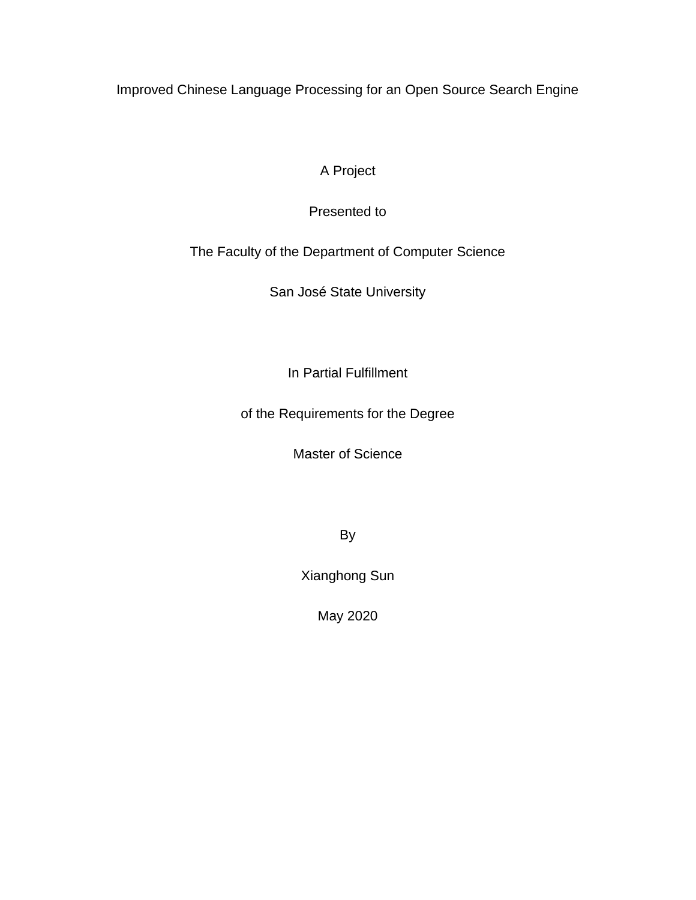Improved Chinese Language Processing for an Open Source Search Engine

A Project

Presented to

The Faculty of the Department of Computer Science

San José State University

In Partial Fulfillment

of the Requirements for the Degree

Master of Science

By

Xianghong Sun

May 2020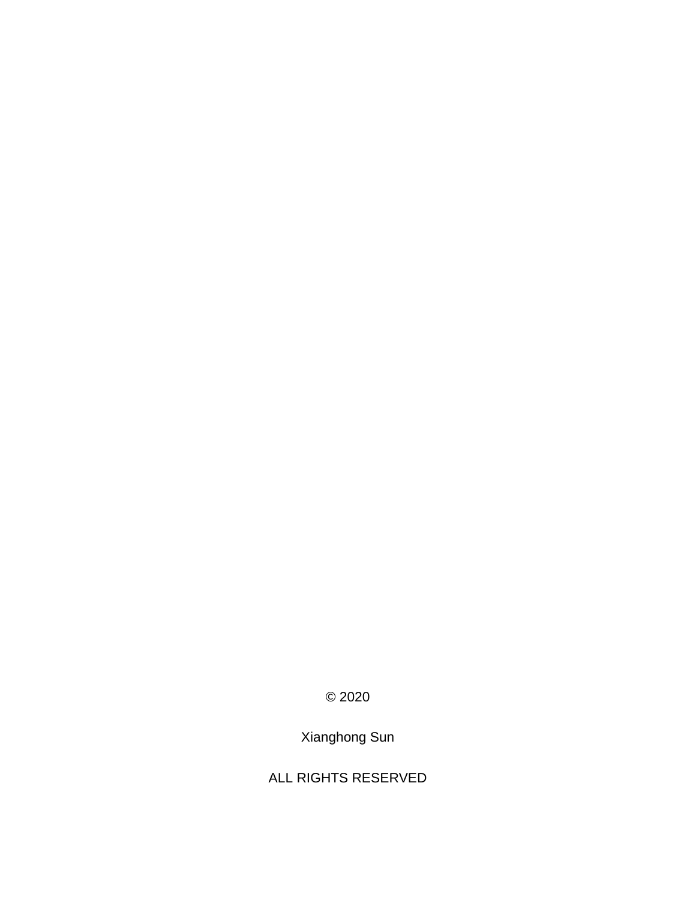© 2020

Xianghong Sun

ALL RIGHTS RESERVED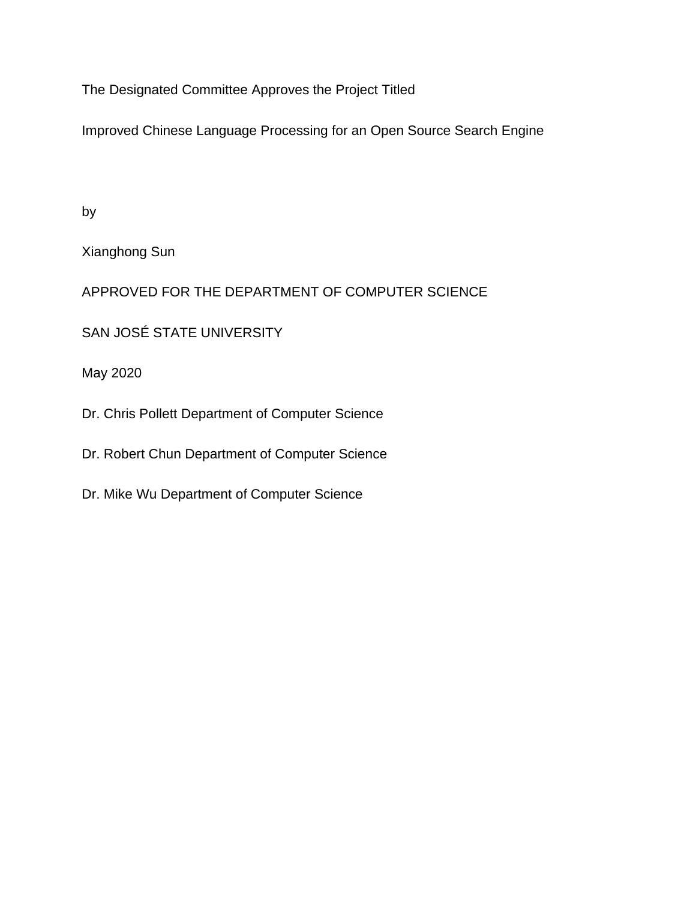The Designated Committee Approves the Project Titled

Improved Chinese Language Processing for an Open Source Search Engine

by

Xianghong Sun

APPROVED FOR THE DEPARTMENT OF COMPUTER SCIENCE

SAN JOSÉ STATE UNIVERSITY

May 2020

Dr. Chris Pollett Department of Computer Science

Dr. Robert Chun Department of Computer Science

Dr. Mike Wu Department of Computer Science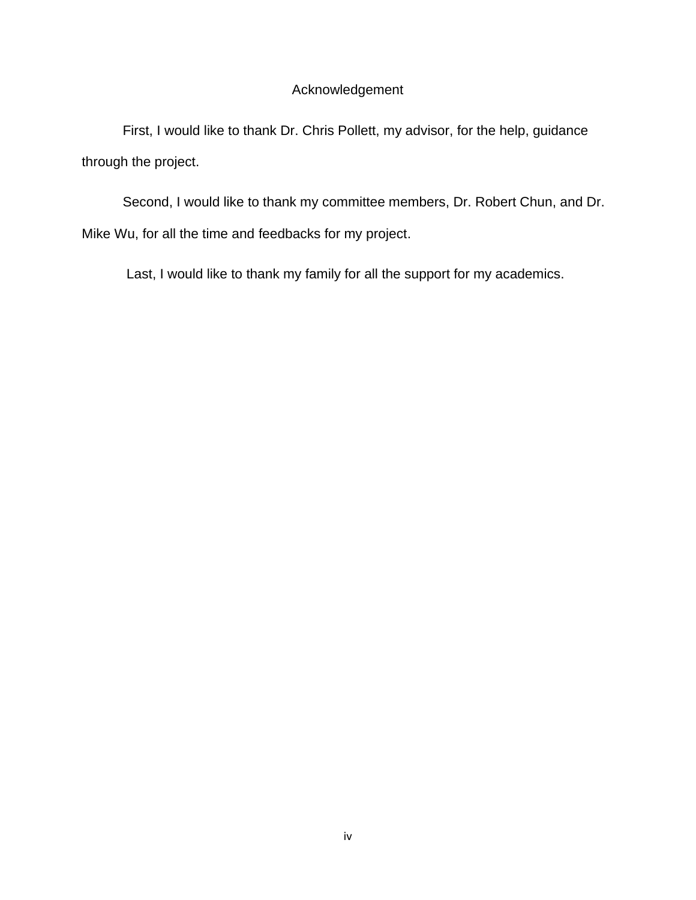# Acknowledgement

First, I would like to thank Dr. Chris Pollett, my advisor, for the help, guidance through the project.

Second, I would like to thank my committee members, Dr. Robert Chun, and Dr. Mike Wu, for all the time and feedbacks for my project.

Last, I would like to thank my family for all the support for my academics.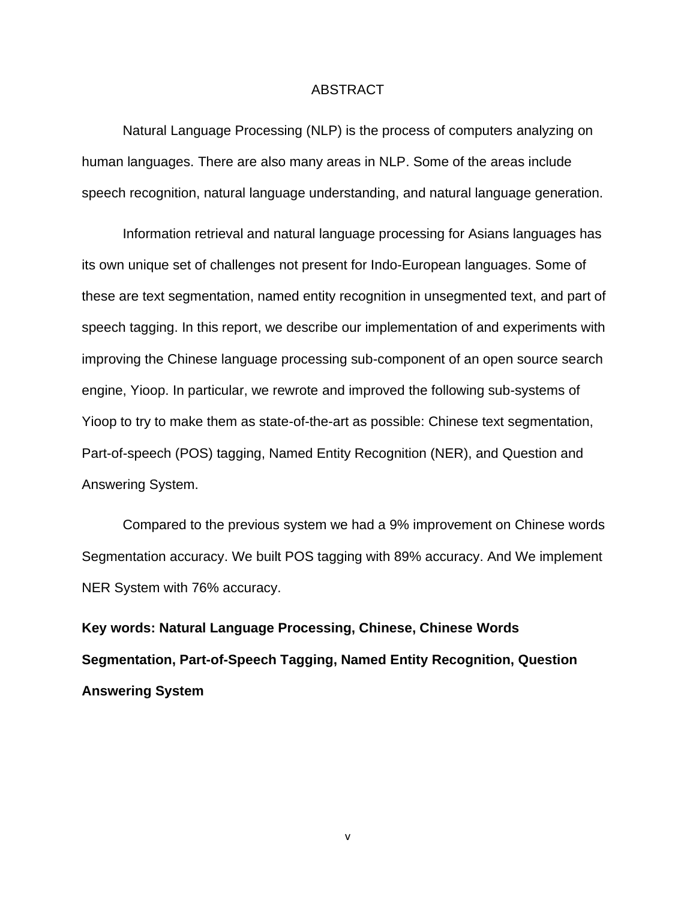#### ABSTRACT

Natural Language Processing (NLP) is the process of computers analyzing on human languages. There are also many areas in NLP. Some of the areas include speech recognition, natural language understanding, and natural language generation.

Information retrieval and natural language processing for Asians languages has its own unique set of challenges not present for Indo-European languages. Some of these are text segmentation, named entity recognition in unsegmented text, and part of speech tagging. In this report, we describe our implementation of and experiments with improving the Chinese language processing sub-component of an open source search engine, Yioop. In particular, we rewrote and improved the following sub-systems of Yioop to try to make them as state-of-the-art as possible: Chinese text segmentation, Part-of-speech (POS) tagging, Named Entity Recognition (NER), and Question and Answering System.

Compared to the previous system we had a 9% improvement on Chinese words Segmentation accuracy. We built POS tagging with 89% accuracy. And We implement NER System with 76% accuracy.

**Key words: Natural Language Processing, Chinese, Chinese Words Segmentation, Part-of-Speech Tagging, Named Entity Recognition, Question Answering System**

v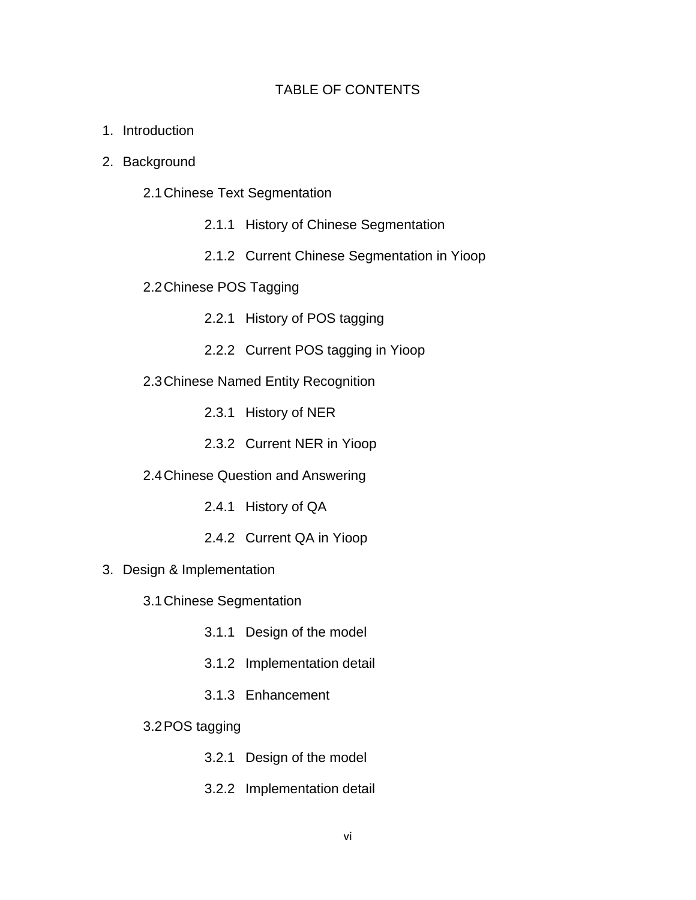# TABLE OF CONTENTS

- 1. Introduction
- 2. Background
	- 2.1Chinese Text Segmentation
		- 2.1.1 History of Chinese Segmentation
		- 2.1.2 Current Chinese Segmentation in Yioop
	- 2.2Chinese POS Tagging
		- 2.2.1 History of POS tagging
		- 2.2.2 Current POS tagging in Yioop
	- 2.3Chinese Named Entity Recognition
		- 2.3.1 History of NER
		- 2.3.2 Current NER in Yioop
	- 2.4Chinese Question and Answering
		- 2.4.1 History of QA
		- 2.4.2 Current QA in Yioop
- 3. Design & Implementation
	- 3.1Chinese Segmentation
		- 3.1.1 Design of the model
		- 3.1.2 Implementation detail
		- 3.1.3 Enhancement
	- 3.2POS tagging
		- 3.2.1 Design of the model
		- 3.2.2 Implementation detail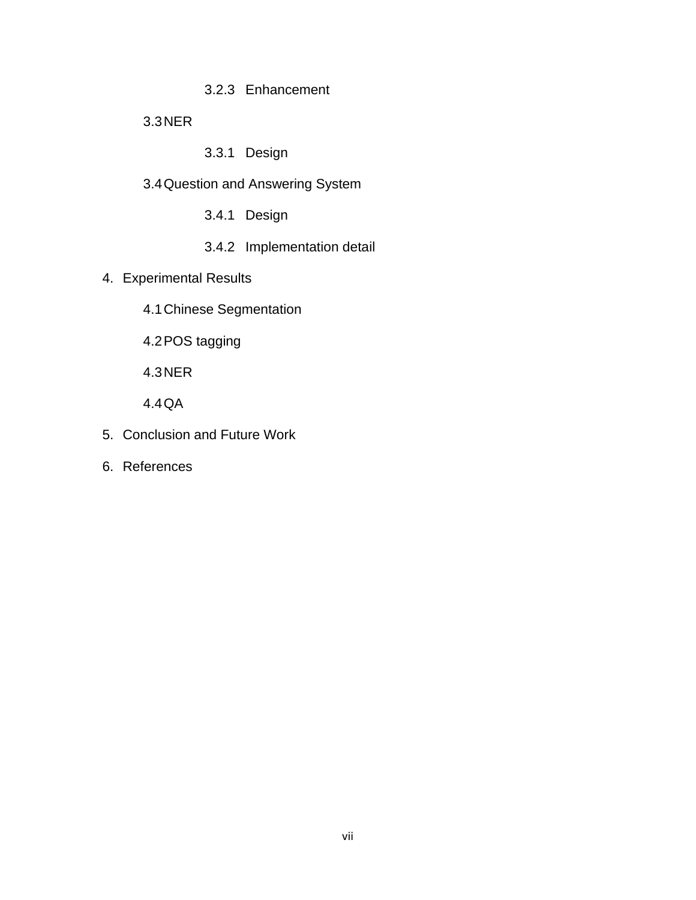# 3.2.3 Enhancement

# 3.3NER

- 3.3.1 Design
- 3.4Question and Answering System
	- 3.4.1 Design
	- 3.4.2 Implementation detail
- 4. Experimental Results
	- 4.1Chinese Segmentation
	- 4.2POS tagging
	- 4.3NER
	- 4.4QA
- 5. Conclusion and Future Work
- 6. References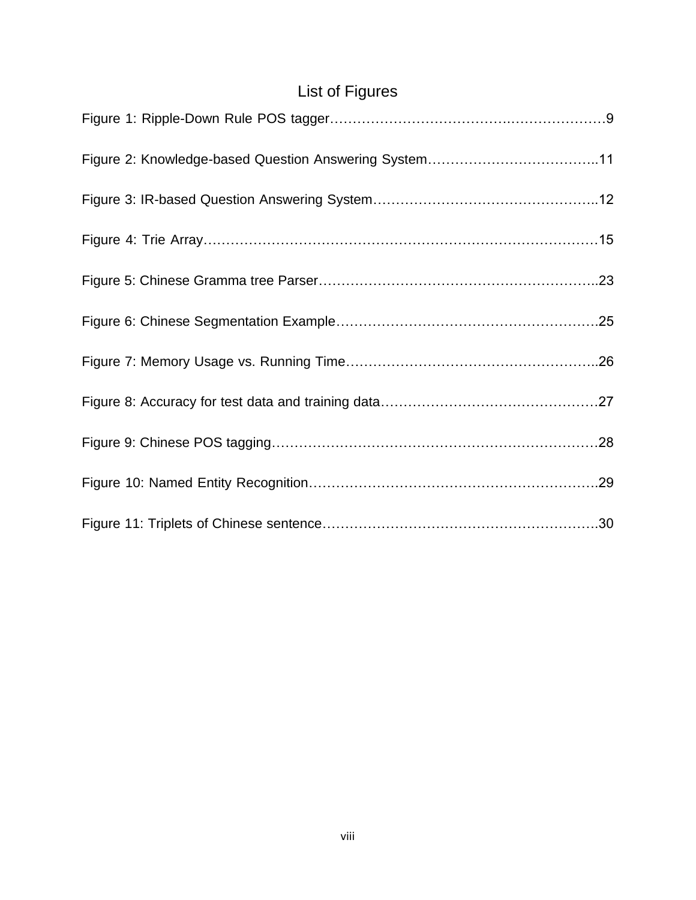# List of Figures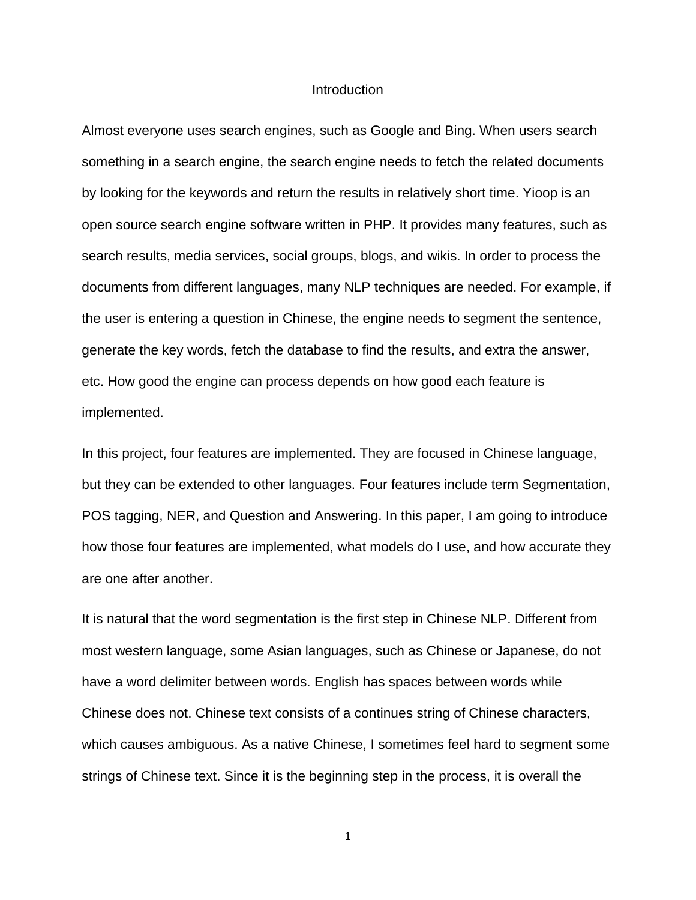#### **Introduction**

Almost everyone uses search engines, such as Google and Bing. When users search something in a search engine, the search engine needs to fetch the related documents by looking for the keywords and return the results in relatively short time. Yioop is an open source search engine software written in PHP. It provides many features, such as search results, media services, social groups, blogs, and wikis. In order to process the documents from different languages, many NLP techniques are needed. For example, if the user is entering a question in Chinese, the engine needs to segment the sentence, generate the key words, fetch the database to find the results, and extra the answer, etc. How good the engine can process depends on how good each feature is implemented.

In this project, four features are implemented. They are focused in Chinese language, but they can be extended to other languages. Four features include term Segmentation, POS tagging, NER, and Question and Answering. In this paper, I am going to introduce how those four features are implemented, what models do I use, and how accurate they are one after another.

It is natural that the word segmentation is the first step in Chinese NLP. Different from most western language, some Asian languages, such as Chinese or Japanese, do not have a word delimiter between words. English has spaces between words while Chinese does not. Chinese text consists of a continues string of Chinese characters, which causes ambiguous. As a native Chinese, I sometimes feel hard to segment some strings of Chinese text. Since it is the beginning step in the process, it is overall the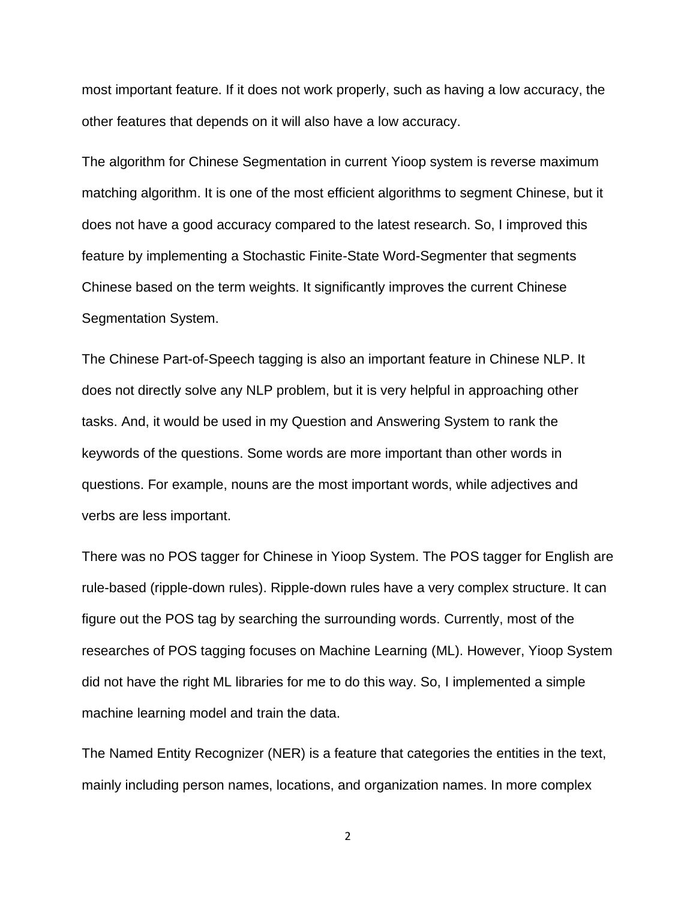most important feature. If it does not work properly, such as having a low accuracy, the other features that depends on it will also have a low accuracy.

The algorithm for Chinese Segmentation in current Yioop system is reverse maximum matching algorithm. It is one of the most efficient algorithms to segment Chinese, but it does not have a good accuracy compared to the latest research. So, I improved this feature by implementing a Stochastic Finite-State Word-Segmenter that segments Chinese based on the term weights. It significantly improves the current Chinese Segmentation System.

The Chinese Part-of-Speech tagging is also an important feature in Chinese NLP. It does not directly solve any NLP problem, but it is very helpful in approaching other tasks. And, it would be used in my Question and Answering System to rank the keywords of the questions. Some words are more important than other words in questions. For example, nouns are the most important words, while adjectives and verbs are less important.

There was no POS tagger for Chinese in Yioop System. The POS tagger for English are rule-based (ripple-down rules). Ripple-down rules have a very complex structure. It can figure out the POS tag by searching the surrounding words. Currently, most of the researches of POS tagging focuses on Machine Learning (ML). However, Yioop System did not have the right ML libraries for me to do this way. So, I implemented a simple machine learning model and train the data.

The Named Entity Recognizer (NER) is a feature that categories the entities in the text, mainly including person names, locations, and organization names. In more complex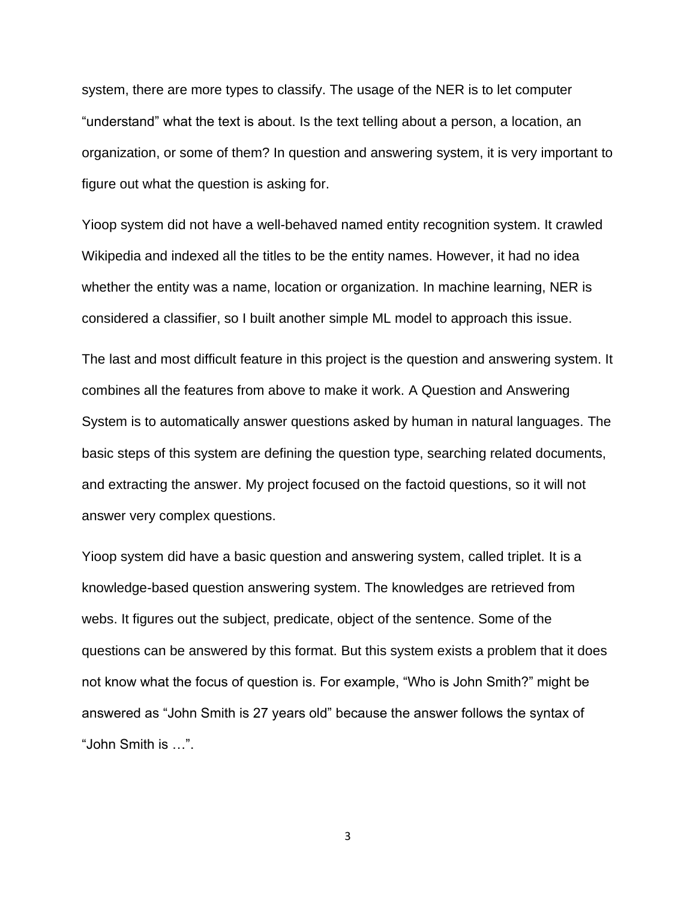system, there are more types to classify. The usage of the NER is to let computer "understand" what the text is about. Is the text telling about a person, a location, an organization, or some of them? In question and answering system, it is very important to figure out what the question is asking for.

Yioop system did not have a well-behaved named entity recognition system. It crawled Wikipedia and indexed all the titles to be the entity names. However, it had no idea whether the entity was a name, location or organization. In machine learning, NER is considered a classifier, so I built another simple ML model to approach this issue.

The last and most difficult feature in this project is the question and answering system. It combines all the features from above to make it work. A Question and Answering System is to automatically answer questions asked by human in natural languages. The basic steps of this system are defining the question type, searching related documents, and extracting the answer. My project focused on the factoid questions, so it will not answer very complex questions.

Yioop system did have a basic question and answering system, called triplet. It is a knowledge-based question answering system. The knowledges are retrieved from webs. It figures out the subject, predicate, object of the sentence. Some of the questions can be answered by this format. But this system exists a problem that it does not know what the focus of question is. For example, "Who is John Smith?" might be answered as "John Smith is 27 years old" because the answer follows the syntax of "John Smith is …".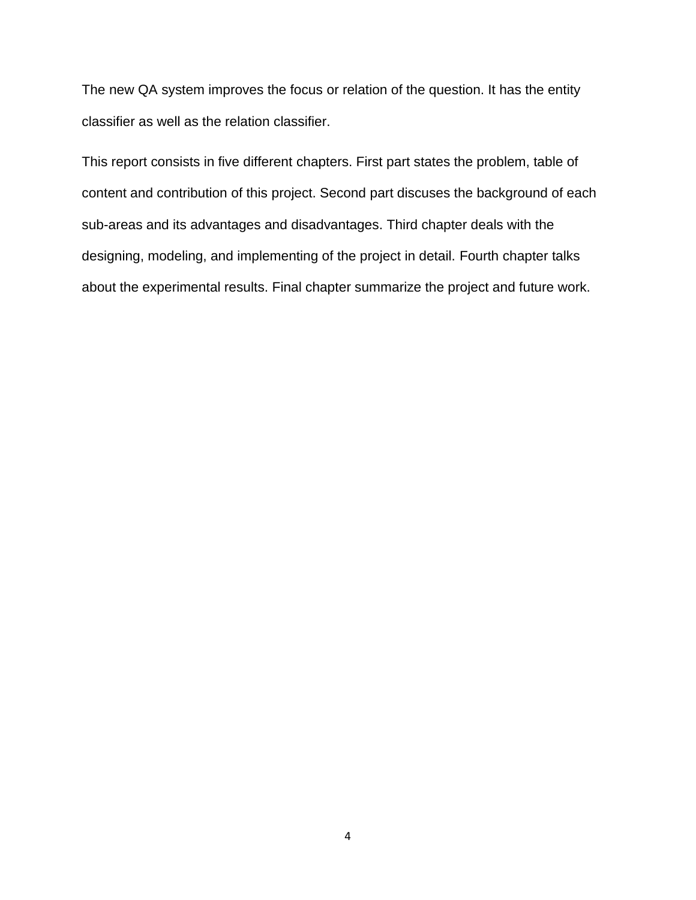The new QA system improves the focus or relation of the question. It has the entity classifier as well as the relation classifier.

This report consists in five different chapters. First part states the problem, table of content and contribution of this project. Second part discuses the background of each sub-areas and its advantages and disadvantages. Third chapter deals with the designing, modeling, and implementing of the project in detail. Fourth chapter talks about the experimental results. Final chapter summarize the project and future work.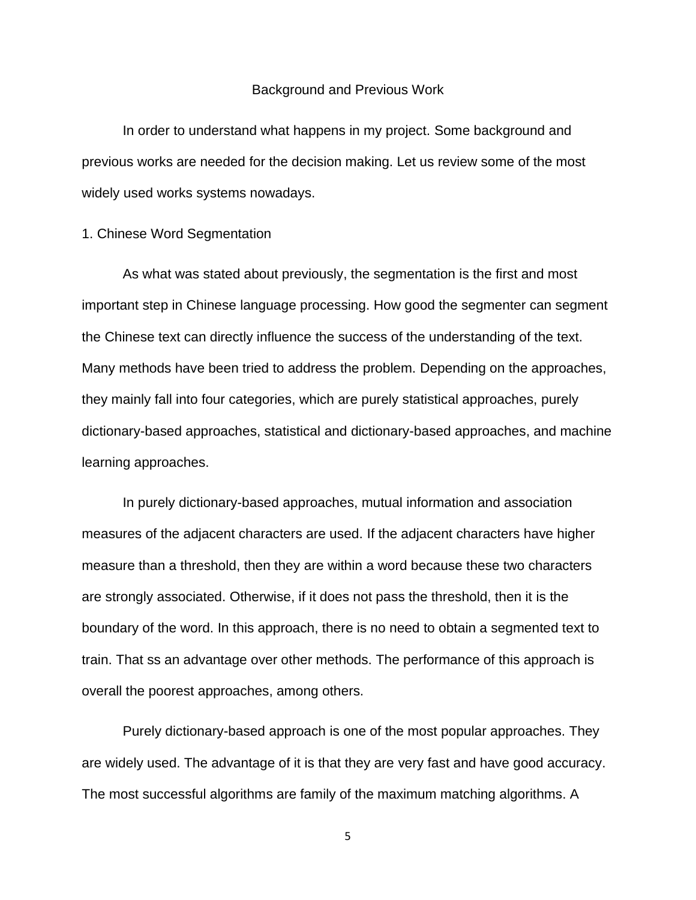#### Background and Previous Work

In order to understand what happens in my project. Some background and previous works are needed for the decision making. Let us review some of the most widely used works systems nowadays.

#### 1. Chinese Word Segmentation

As what was stated about previously, the segmentation is the first and most important step in Chinese language processing. How good the segmenter can segment the Chinese text can directly influence the success of the understanding of the text. Many methods have been tried to address the problem. Depending on the approaches, they mainly fall into four categories, which are purely statistical approaches, purely dictionary-based approaches, statistical and dictionary-based approaches, and machine learning approaches.

In purely dictionary-based approaches, mutual information and association measures of the adjacent characters are used. If the adjacent characters have higher measure than a threshold, then they are within a word because these two characters are strongly associated. Otherwise, if it does not pass the threshold, then it is the boundary of the word. In this approach, there is no need to obtain a segmented text to train. That ss an advantage over other methods. The performance of this approach is overall the poorest approaches, among others.

Purely dictionary-based approach is one of the most popular approaches. They are widely used. The advantage of it is that they are very fast and have good accuracy. The most successful algorithms are family of the maximum matching algorithms. A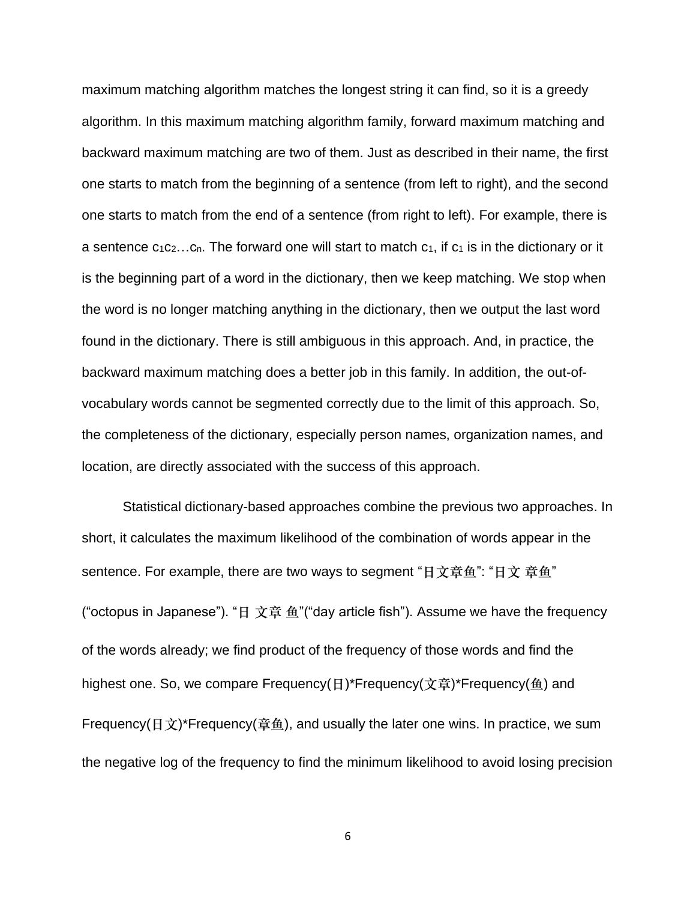maximum matching algorithm matches the longest string it can find, so it is a greedy algorithm. In this maximum matching algorithm family, forward maximum matching and backward maximum matching are two of them. Just as described in their name, the first one starts to match from the beginning of a sentence (from left to right), and the second one starts to match from the end of a sentence (from right to left). For example, there is a sentence  $c_1c_2...c_n$ . The forward one will start to match  $c_1$ , if  $c_1$  is in the dictionary or it is the beginning part of a word in the dictionary, then we keep matching. We stop when the word is no longer matching anything in the dictionary, then we output the last word found in the dictionary. There is still ambiguous in this approach. And, in practice, the backward maximum matching does a better job in this family. In addition, the out-ofvocabulary words cannot be segmented correctly due to the limit of this approach. So, the completeness of the dictionary, especially person names, organization names, and location, are directly associated with the success of this approach.

Statistical dictionary-based approaches combine the previous two approaches. In short, it calculates the maximum likelihood of the combination of words appear in the sentence. For example, there are two ways to segment "日文章鱼": "日文 章鱼" ("octopus in Japanese"). "日 文章 鱼"("day article fish"). Assume we have the frequency of the words already; we find product of the frequency of those words and find the highest one. So, we compare Frequency(日)\*Frequency(文章)\*Frequency(鱼) and Frequency(日文)\*Frequency(章鱼), and usually the later one wins. In practice, we sum the negative log of the frequency to find the minimum likelihood to avoid losing precision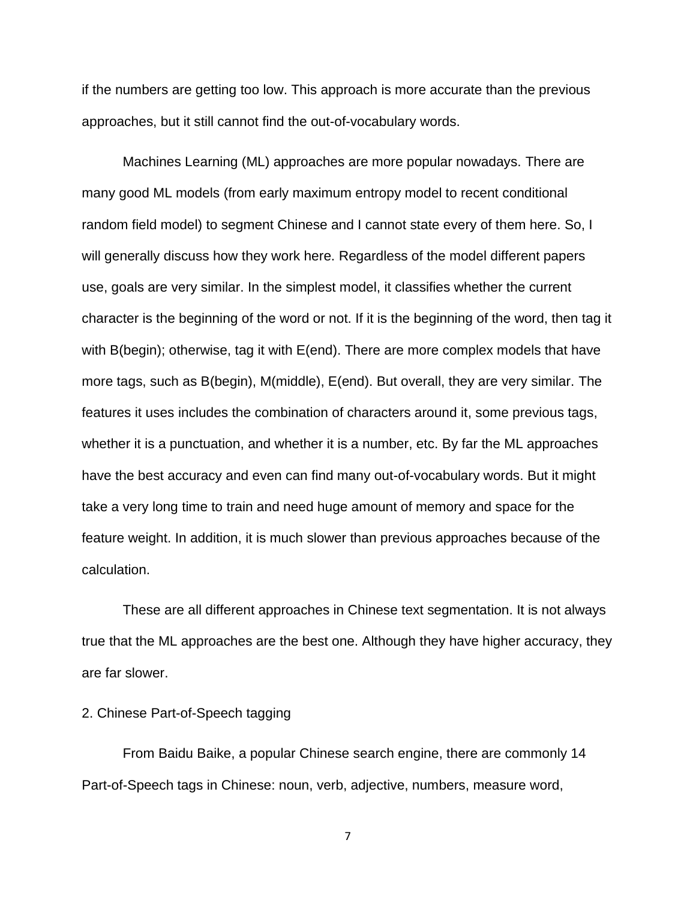if the numbers are getting too low. This approach is more accurate than the previous approaches, but it still cannot find the out-of-vocabulary words.

Machines Learning (ML) approaches are more popular nowadays. There are many good ML models (from early maximum entropy model to recent conditional random field model) to segment Chinese and I cannot state every of them here. So, I will generally discuss how they work here. Regardless of the model different papers use, goals are very similar. In the simplest model, it classifies whether the current character is the beginning of the word or not. If it is the beginning of the word, then tag it with B(begin); otherwise, tag it with E(end). There are more complex models that have more tags, such as B(begin), M(middle), E(end). But overall, they are very similar. The features it uses includes the combination of characters around it, some previous tags, whether it is a punctuation, and whether it is a number, etc. By far the ML approaches have the best accuracy and even can find many out-of-vocabulary words. But it might take a very long time to train and need huge amount of memory and space for the feature weight. In addition, it is much slower than previous approaches because of the calculation.

These are all different approaches in Chinese text segmentation. It is not always true that the ML approaches are the best one. Although they have higher accuracy, they are far slower.

# 2. Chinese Part-of-Speech tagging

From Baidu Baike, a popular Chinese search engine, there are commonly 14 Part-of-Speech tags in Chinese: noun, verb, adjective, numbers, measure word,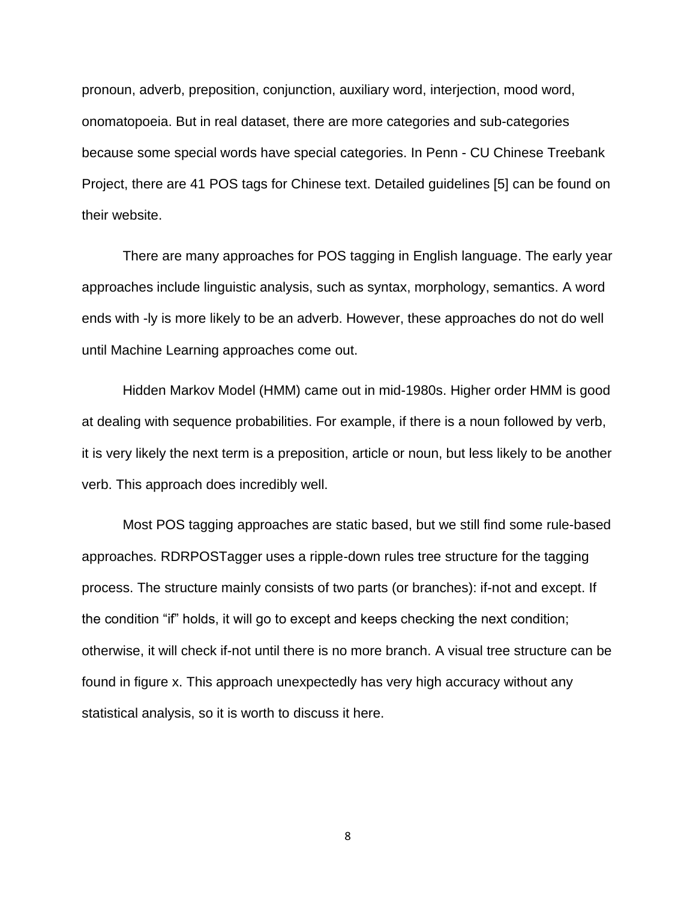pronoun, adverb, preposition, conjunction, auxiliary word, interjection, mood word, onomatopoeia. But in real dataset, there are more categories and sub-categories because some special words have special categories. In Penn - CU Chinese Treebank Project, there are 41 POS tags for Chinese text. Detailed guidelines [5] can be found on their website.

There are many approaches for POS tagging in English language. The early year approaches include linguistic analysis, such as syntax, morphology, semantics. A word ends with -ly is more likely to be an adverb. However, these approaches do not do well until Machine Learning approaches come out.

Hidden Markov Model (HMM) came out in mid-1980s. Higher order HMM is good at dealing with sequence probabilities. For example, if there is a noun followed by verb, it is very likely the next term is a preposition, article or noun, but less likely to be another verb. This approach does incredibly well.

Most POS tagging approaches are static based, but we still find some rule-based approaches. RDRPOSTagger uses a ripple-down rules tree structure for the tagging process. The structure mainly consists of two parts (or branches): if-not and except. If the condition "if" holds, it will go to except and keeps checking the next condition; otherwise, it will check if-not until there is no more branch. A visual tree structure can be found in figure x. This approach unexpectedly has very high accuracy without any statistical analysis, so it is worth to discuss it here.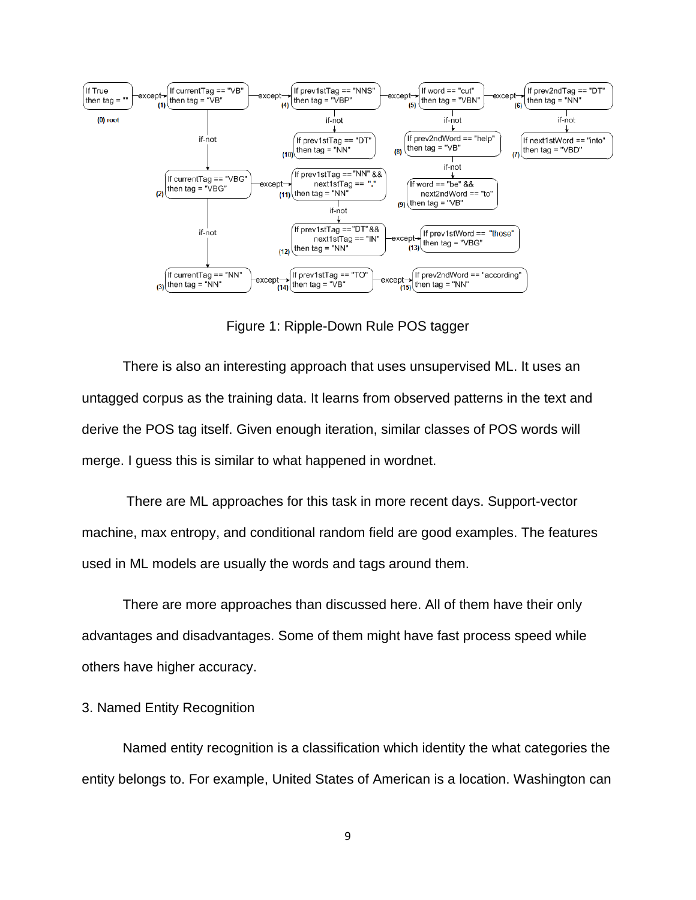

Figure 1: Ripple-Down Rule POS tagger

There is also an interesting approach that uses unsupervised ML. It uses an untagged corpus as the training data. It learns from observed patterns in the text and derive the POS tag itself. Given enough iteration, similar classes of POS words will merge. I guess this is similar to what happened in wordnet.

There are ML approaches for this task in more recent days. Support-vector machine, max entropy, and conditional random field are good examples. The features used in ML models are usually the words and tags around them.

There are more approaches than discussed here. All of them have their only advantages and disadvantages. Some of them might have fast process speed while others have higher accuracy.

#### 3. Named Entity Recognition

Named entity recognition is a classification which identity the what categories the entity belongs to. For example, United States of American is a location. Washington can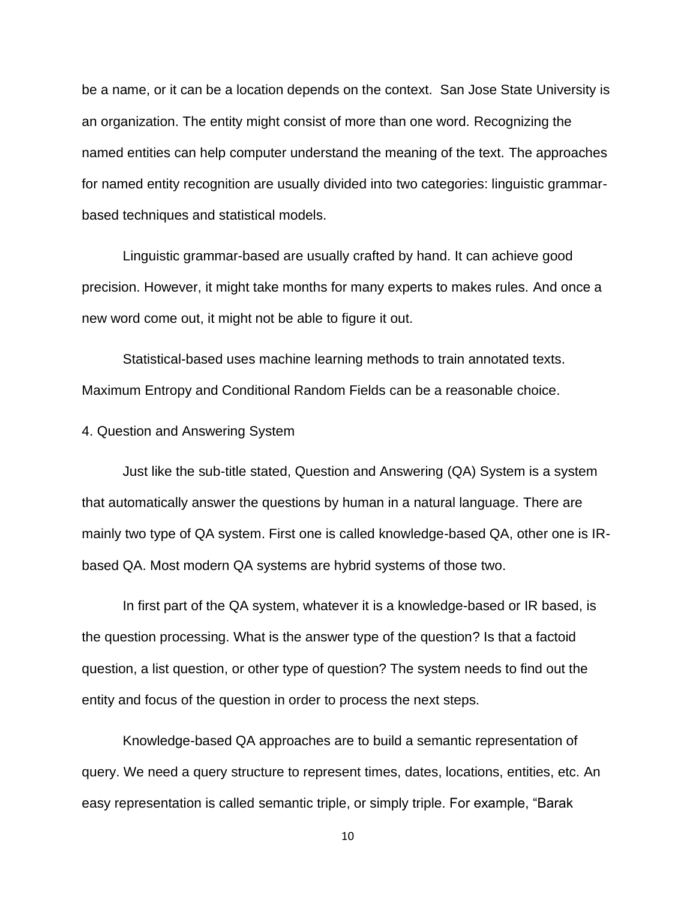be a name, or it can be a location depends on the context. San Jose State University is an organization. The entity might consist of more than one word. Recognizing the named entities can help computer understand the meaning of the text. The approaches for named entity recognition are usually divided into two categories: linguistic grammarbased techniques and statistical models.

Linguistic grammar-based are usually crafted by hand. It can achieve good precision. However, it might take months for many experts to makes rules. And once a new word come out, it might not be able to figure it out.

Statistical-based uses machine learning methods to train annotated texts. Maximum Entropy and Conditional Random Fields can be a reasonable choice.

4. Question and Answering System

Just like the sub-title stated, Question and Answering (QA) System is a system that automatically answer the questions by human in a natural language. There are mainly two type of QA system. First one is called knowledge-based QA, other one is IRbased QA. Most modern QA systems are hybrid systems of those two.

In first part of the QA system, whatever it is a knowledge-based or IR based, is the question processing. What is the answer type of the question? Is that a factoid question, a list question, or other type of question? The system needs to find out the entity and focus of the question in order to process the next steps.

Knowledge-based QA approaches are to build a semantic representation of query. We need a query structure to represent times, dates, locations, entities, etc. An easy representation is called semantic triple, or simply triple. For example, "Barak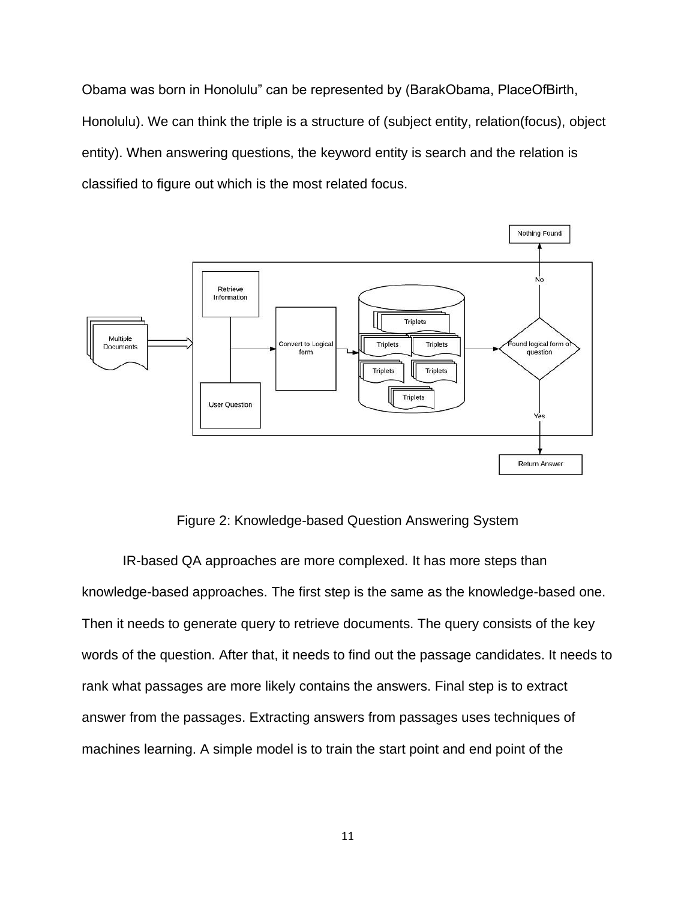Obama was born in Honolulu" can be represented by (BarakObama, PlaceOfBirth, Honolulu). We can think the triple is a structure of (subject entity, relation(focus), object entity). When answering questions, the keyword entity is search and the relation is classified to figure out which is the most related focus.



Figure 2: Knowledge-based Question Answering System

IR-based QA approaches are more complexed. It has more steps than knowledge-based approaches. The first step is the same as the knowledge-based one. Then it needs to generate query to retrieve documents. The query consists of the key words of the question. After that, it needs to find out the passage candidates. It needs to rank what passages are more likely contains the answers. Final step is to extract answer from the passages. Extracting answers from passages uses techniques of machines learning. A simple model is to train the start point and end point of the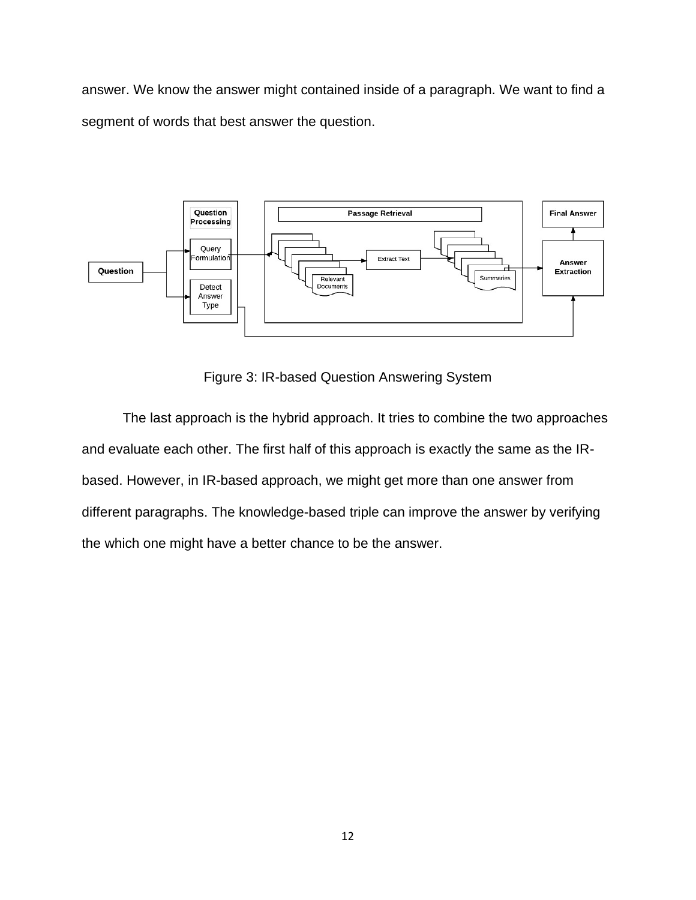answer. We know the answer might contained inside of a paragraph. We want to find a segment of words that best answer the question.



Figure 3: IR-based Question Answering System

The last approach is the hybrid approach. It tries to combine the two approaches and evaluate each other. The first half of this approach is exactly the same as the IRbased. However, in IR-based approach, we might get more than one answer from different paragraphs. The knowledge-based triple can improve the answer by verifying the which one might have a better chance to be the answer.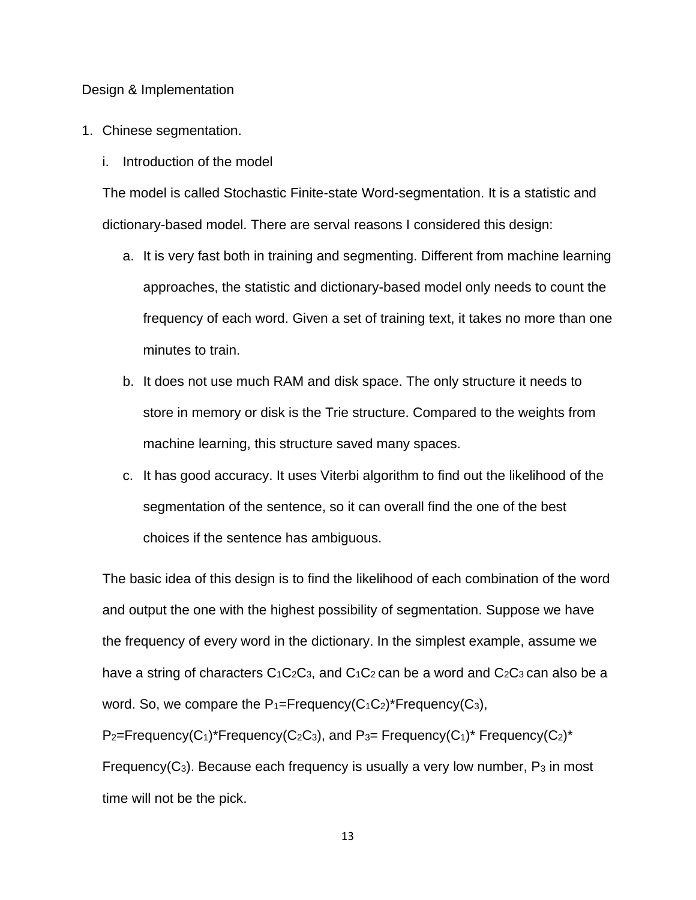#### Design & Implementation

- 1. Chinese segmentation.
	- i. Introduction of the model

The model is called Stochastic Finite-state Word-segmentation. It is a statistic and dictionary-based model. There are serval reasons I considered this design:

- a. It is very fast both in training and segmenting. Different from machine learning approaches, the statistic and dictionary-based model only needs to count the frequency of each word. Given a set of training text, it takes no more than one minutes to train.
- b. It does not use much RAM and disk space. The only structure it needs to store in memory or disk is the Trie structure. Compared to the weights from machine learning, this structure saved many spaces.
- c. It has good accuracy. It uses Viterbi algorithm to find out the likelihood of the segmentation of the sentence, so it can overall find the one of the best choices if the sentence has ambiguous.

The basic idea of this design is to find the likelihood of each combination of the word and output the one with the highest possibility of segmentation. Suppose we have the frequency of every word in the dictionary. In the simplest example, assume we have a string of characters  $C_1C_2C_3$ , and  $C_1C_2$  can be a word and  $C_2C_3$  can also be a word. So, we compare the  $P_1=Frequency(C_1C_2)^*Frequency(C_3)$ ,

 $P_2$ =Frequency(C<sub>1</sub>)\*Frequency(C<sub>2</sub>C<sub>3</sub>), and P<sub>3</sub>= Frequency(C<sub>1</sub>)\* Frequency(C<sub>2</sub>)\* Frequency( $C_3$ ). Because each frequency is usually a very low number,  $P_3$  in most time will not be the pick.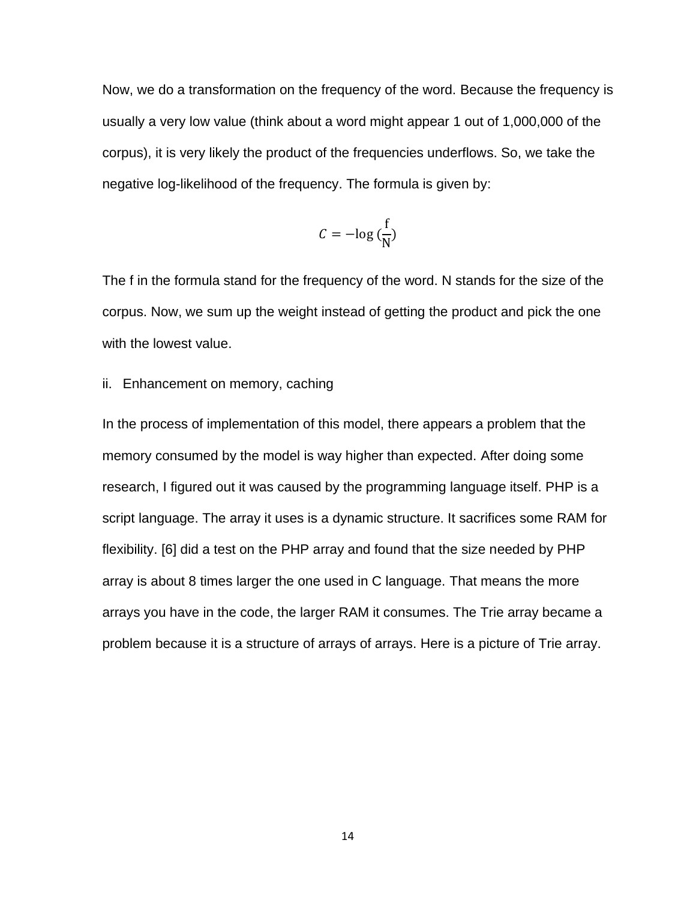Now, we do a transformation on the frequency of the word. Because the frequency is usually a very low value (think about a word might appear 1 out of 1,000,000 of the corpus), it is very likely the product of the frequencies underflows. So, we take the negative log-likelihood of the frequency. The formula is given by:

$$
C = -\log\left(\frac{f}{N}\right)
$$

The f in the formula stand for the frequency of the word. N stands for the size of the corpus. Now, we sum up the weight instead of getting the product and pick the one with the lowest value.

### ii. Enhancement on memory, caching

In the process of implementation of this model, there appears a problem that the memory consumed by the model is way higher than expected. After doing some research, I figured out it was caused by the programming language itself. PHP is a script language. The array it uses is a dynamic structure. It sacrifices some RAM for flexibility. [6] did a test on the PHP array and found that the size needed by PHP array is about 8 times larger the one used in C language. That means the more arrays you have in the code, the larger RAM it consumes. The Trie array became a problem because it is a structure of arrays of arrays. Here is a picture of Trie array.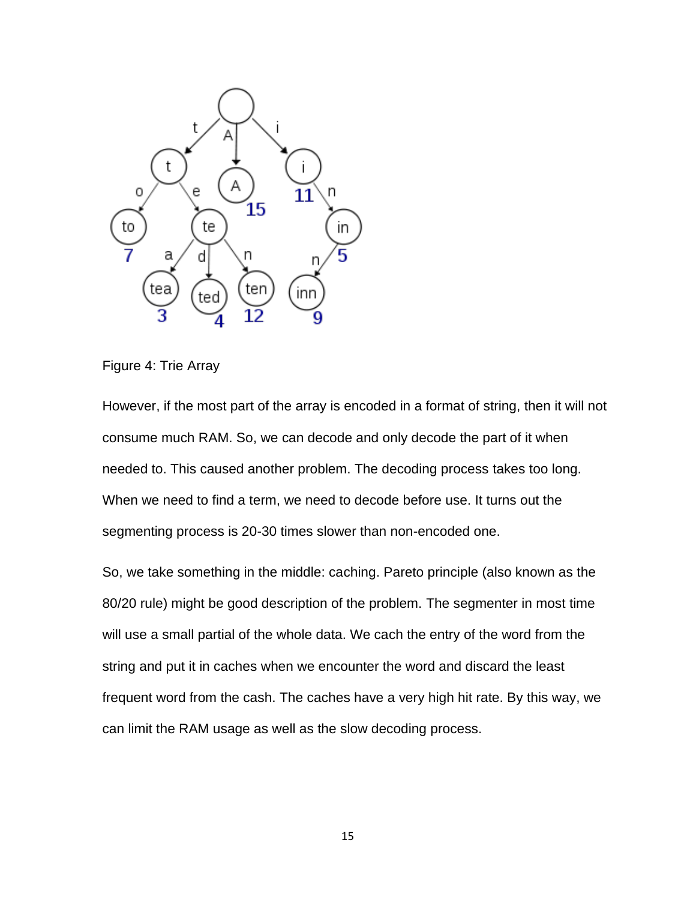

Figure 4: Trie Array

However, if the most part of the array is encoded in a format of string, then it will not consume much RAM. So, we can decode and only decode the part of it when needed to. This caused another problem. The decoding process takes too long. When we need to find a term, we need to decode before use. It turns out the segmenting process is 20-30 times slower than non-encoded one.

So, we take something in the middle: caching. Pareto principle (also known as the 80/20 rule) might be good description of the problem. The segmenter in most time will use a small partial of the whole data. We cach the entry of the word from the string and put it in caches when we encounter the word and discard the least frequent word from the cash. The caches have a very high hit rate. By this way, we can limit the RAM usage as well as the slow decoding process.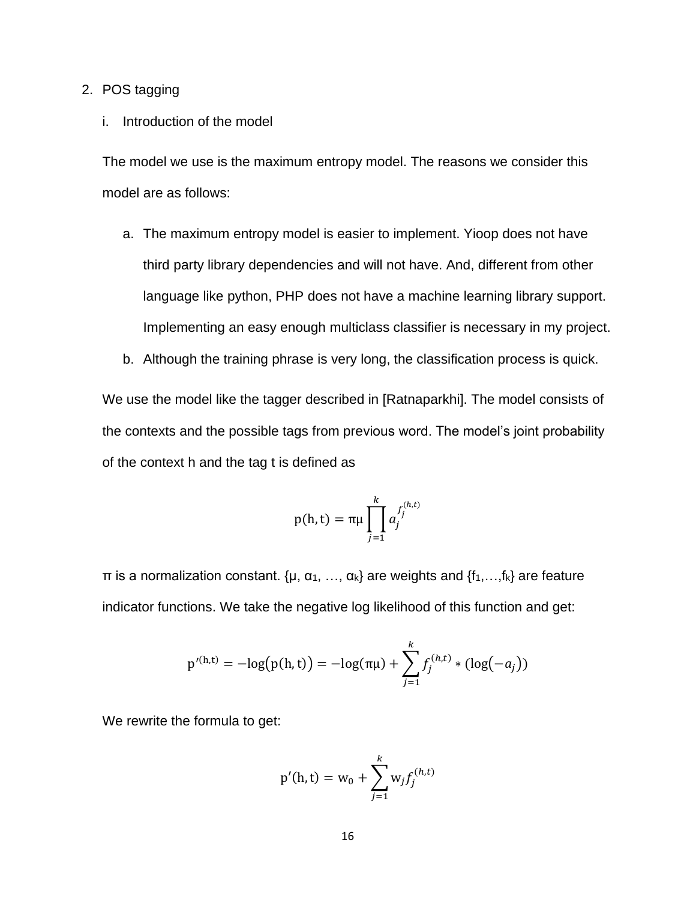### 2. POS tagging

## i. Introduction of the model

The model we use is the maximum entropy model. The reasons we consider this model are as follows:

- a. The maximum entropy model is easier to implement. Yioop does not have third party library dependencies and will not have. And, different from other language like python, PHP does not have a machine learning library support. Implementing an easy enough multiclass classifier is necessary in my project.
- b. Although the training phrase is very long, the classification process is quick.

We use the model like the tagger described in [Ratnaparkhi]. The model consists of the contexts and the possible tags from previous word. The model's joint probability of the context h and the tag t is defined as

$$
p(h, t) = \pi \mu \prod_{j=1}^k a_j^{f_j^{(h,t)}}
$$

 $\pi$  is a normalization constant. {μ, α<sub>1</sub>, ..., α<sub>k</sub>} are weights and {f<sub>1</sub>, ..., f<sub>k</sub>} are feature indicator functions. We take the negative log likelihood of this function and get:

$$
p'^{(h,t)} = -\log(p(h,t)) = -\log(\pi\mu) + \sum_{j=1}^{k} f_j^{(h,t)} * (\log(-a_j))
$$

We rewrite the formula to get:

$$
p'(h, t) = w_0 + \sum_{j=1}^{k} w_j f_j^{(h, t)}
$$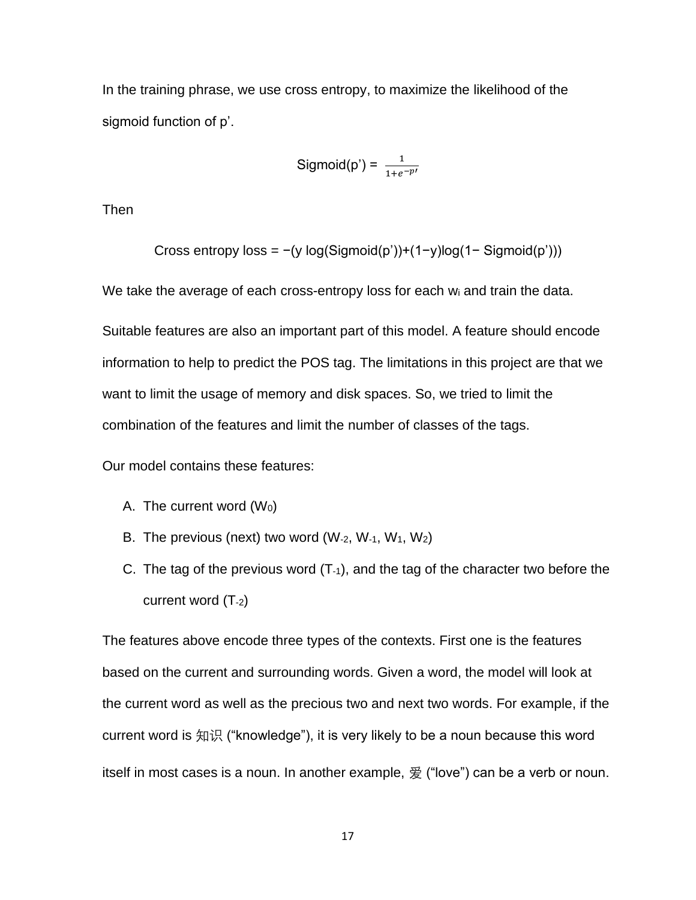In the training phrase, we use cross entropy, to maximize the likelihood of the sigmoid function of p'.

$$
Sigmoid(p') = \frac{1}{1 + e^{-p'}}
$$

Then

Cross entropy loss = 
$$
-(y \log(Sigmoid(p'))+(1-y)\log(1-Sigmoid(p')))
$$

We take the average of each cross-entropy loss for each wi and train the data.

Suitable features are also an important part of this model. A feature should encode information to help to predict the POS tag. The limitations in this project are that we want to limit the usage of memory and disk spaces. So, we tried to limit the combination of the features and limit the number of classes of the tags.

Our model contains these features:

- A. The current word  $(W<sub>0</sub>)$
- B. The previous (next) two word ( $W_{-2}$ ,  $W_{-1}$ ,  $W_1$ ,  $W_2$ )
- C. The tag of the previous word  $(T_1)$ , and the tag of the character two before the current word (T-2)

The features above encode three types of the contexts. First one is the features based on the current and surrounding words. Given a word, the model will look at the current word as well as the precious two and next two words. For example, if the current word is 知识 ("knowledge"), it is very likely to be a noun because this word itself in most cases is a noun. In another example, 爱 ("love") can be a verb or noun.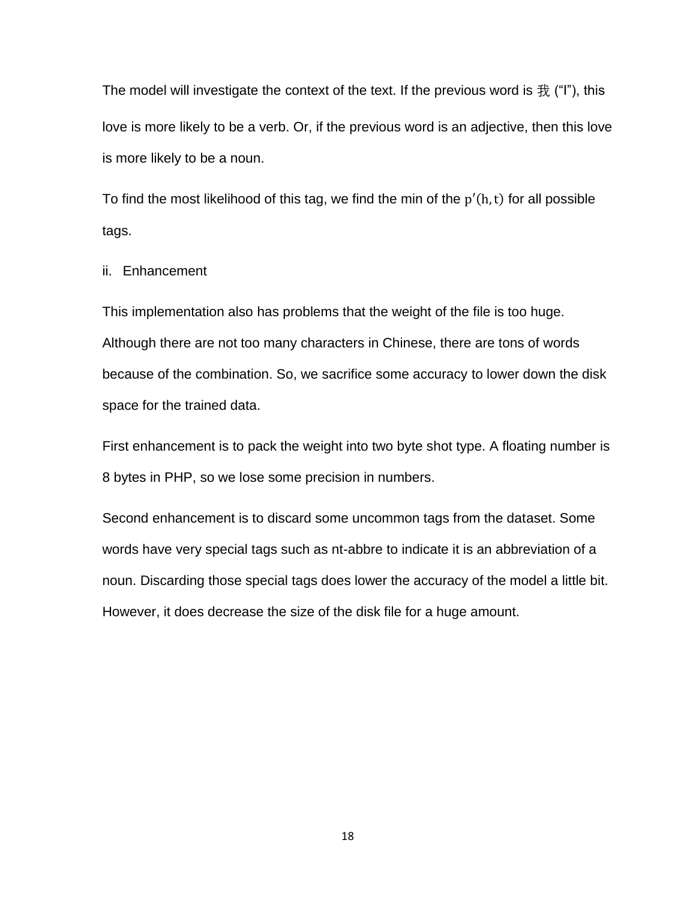The model will investigate the context of the text. If the previous word is  $\frac{1}{\mathcal{X}}$  ("I"), this love is more likely to be a verb. Or, if the previous word is an adjective, then this love is more likely to be a noun.

To find the most likelihood of this tag, we find the min of the  $p'(h, t)$  for all possible tags.

## ii. Enhancement

This implementation also has problems that the weight of the file is too huge. Although there are not too many characters in Chinese, there are tons of words because of the combination. So, we sacrifice some accuracy to lower down the disk space for the trained data.

First enhancement is to pack the weight into two byte shot type. A floating number is 8 bytes in PHP, so we lose some precision in numbers.

Second enhancement is to discard some uncommon tags from the dataset. Some words have very special tags such as nt-abbre to indicate it is an abbreviation of a noun. Discarding those special tags does lower the accuracy of the model a little bit. However, it does decrease the size of the disk file for a huge amount.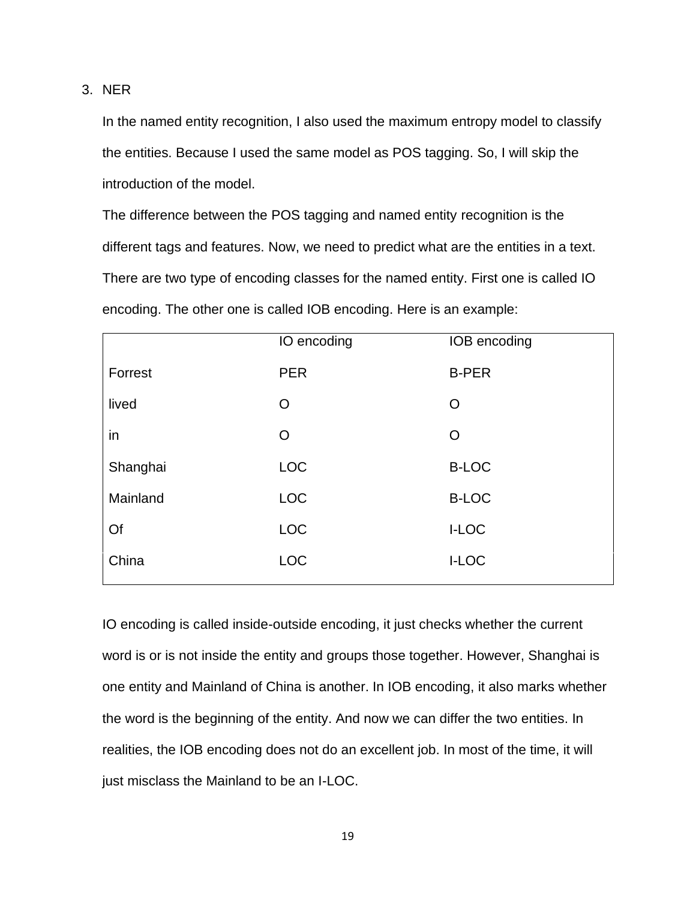3. NER

In the named entity recognition, I also used the maximum entropy model to classify the entities. Because I used the same model as POS tagging. So, I will skip the introduction of the model.

The difference between the POS tagging and named entity recognition is the different tags and features. Now, we need to predict what are the entities in a text. There are two type of encoding classes for the named entity. First one is called IO encoding. The other one is called IOB encoding. Here is an example:

|          | IO encoding    | IOB encoding |
|----------|----------------|--------------|
| Forrest  | <b>PER</b>     | <b>B-PER</b> |
| lived    | $\circ$        | O            |
| in       | $\overline{O}$ | $\Omega$     |
| Shanghai | <b>LOC</b>     | <b>B-LOC</b> |
| Mainland | <b>LOC</b>     | <b>B-LOC</b> |
| Of       | <b>LOC</b>     | <b>I-LOC</b> |
| China    | <b>LOC</b>     | <b>I-LOC</b> |
|          |                |              |

IO encoding is called inside-outside encoding, it just checks whether the current word is or is not inside the entity and groups those together. However, Shanghai is one entity and Mainland of China is another. In IOB encoding, it also marks whether the word is the beginning of the entity. And now we can differ the two entities. In realities, the IOB encoding does not do an excellent job. In most of the time, it will just misclass the Mainland to be an I-LOC.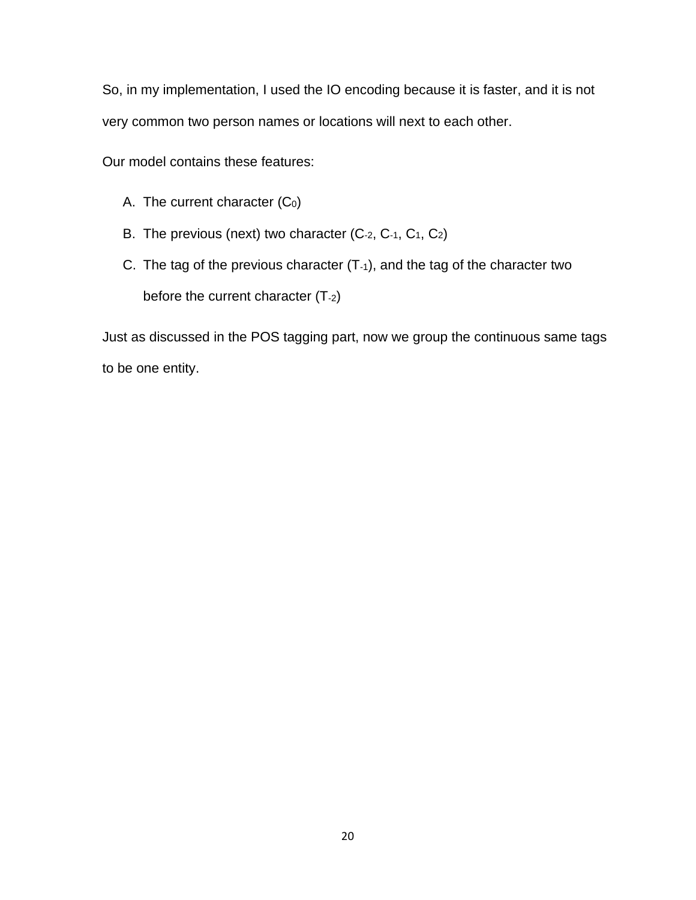So, in my implementation, I used the IO encoding because it is faster, and it is not very common two person names or locations will next to each other.

Our model contains these features:

- A. The current character  $(C_0)$
- B. The previous (next) two character (C-2, C-1, C1, C2)
- C. The tag of the previous character  $(T<sub>-1</sub>)$ , and the tag of the character two before the current character (T-2)

Just as discussed in the POS tagging part, now we group the continuous same tags to be one entity.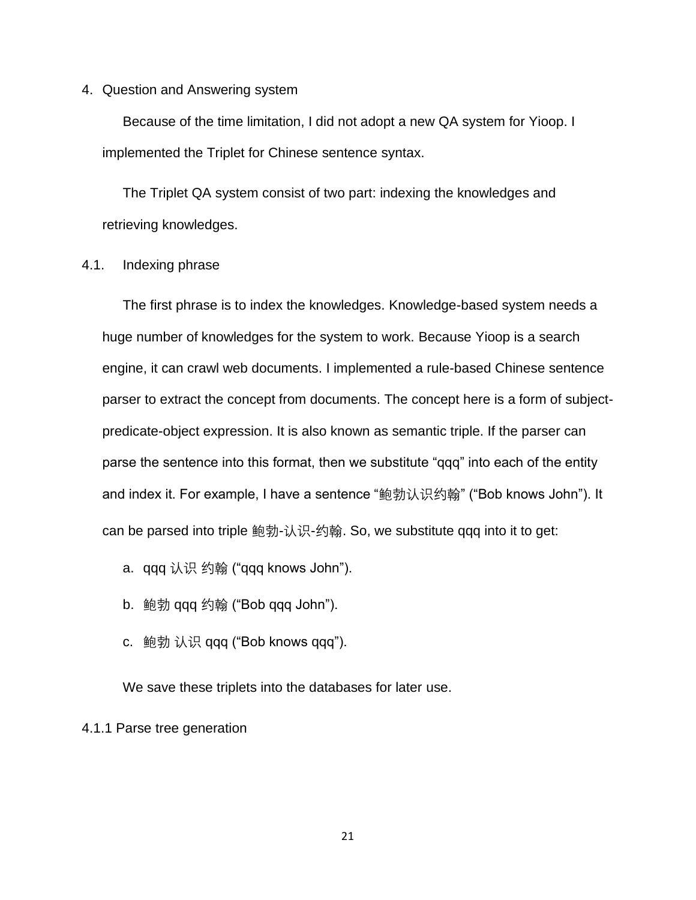4. Question and Answering system

Because of the time limitation, I did not adopt a new QA system for Yioop. I implemented the Triplet for Chinese sentence syntax.

The Triplet QA system consist of two part: indexing the knowledges and retrieving knowledges.

## 4.1. Indexing phrase

The first phrase is to index the knowledges. Knowledge-based system needs a huge number of knowledges for the system to work. Because Yioop is a search engine, it can crawl web documents. I implemented a rule-based Chinese sentence parser to extract the concept from documents. The concept here is a form of subjectpredicate-object expression. It is also known as semantic triple. If the parser can parse the sentence into this format, then we substitute "qqq" into each of the entity and index it. For example, I have a sentence "鲍勃认识约翰" ("Bob knows John"). It can be parsed into triple 鲍勃-认识-约翰. So, we substitute qqq into it to get:

- a. qqq 认识 约翰 ("qqq knows John").
- b. 鲍勃 qqq 约翰 ("Bob qqq John").
- c. 鲍勃 认识 qqq ("Bob knows qqq").

We save these triplets into the databases for later use.

4.1.1 Parse tree generation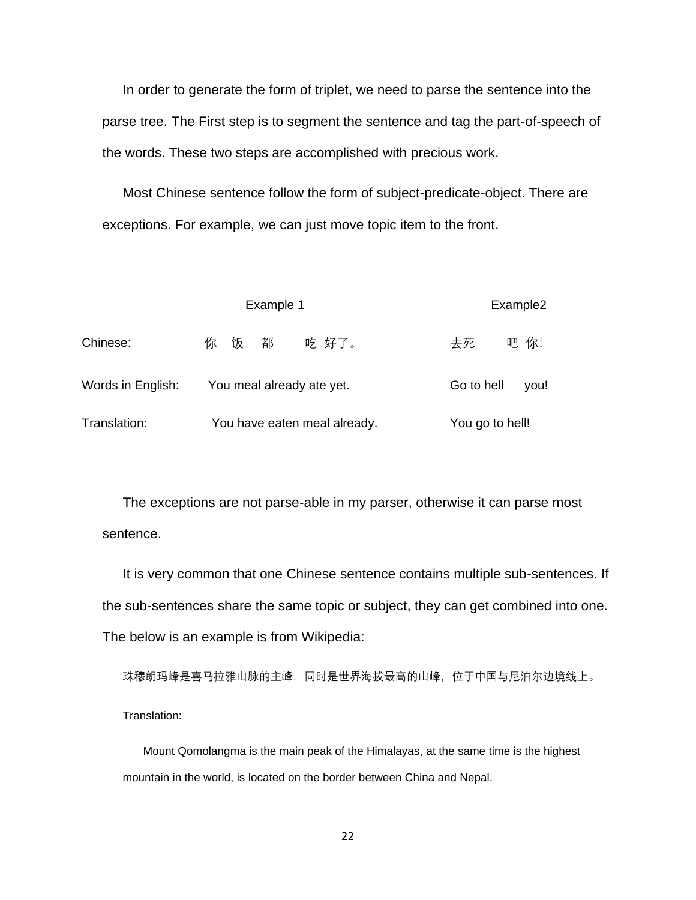In order to generate the form of triplet, we need to parse the sentence into the parse tree. The First step is to segment the sentence and tag the part-of-speech of the words. These two steps are accomplished with precious work.

Most Chinese sentence follow the form of subject-predicate-object. There are exceptions. For example, we can just move topic item to the front.

|                   | Example 1                    | Example2           |
|-------------------|------------------------------|--------------------|
| Chinese:          | 都<br>饭<br>吃 好了。<br>你         | 吧 你!<br>去死         |
| Words in English: | You meal already ate yet.    | Go to hell<br>you! |
| Translation:      | You have eaten meal already. | You go to hell!    |

The exceptions are not parse-able in my parser, otherwise it can parse most sentence.

It is very common that one Chinese sentence contains multiple sub-sentences. If the sub-sentences share the same topic or subject, they can get combined into one. The below is an example is from Wikipedia:

珠穆朗玛峰是喜马拉雅山脉的主峰,同时是世界海拔最高的山峰,位于中国与尼泊尔边境线上。 Translation:

Mount Qomolangma is the main peak of the Himalayas, at the same time is the highest mountain in the world, is located on the border between China and Nepal.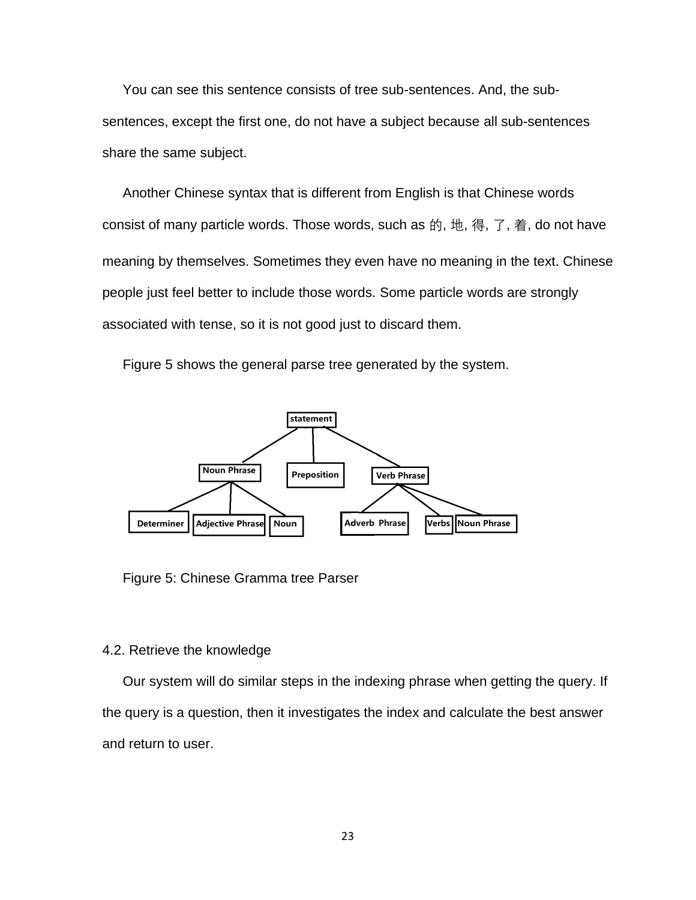You can see this sentence consists of tree sub-sentences. And, the subsentences, except the first one, do not have a subject because all sub-sentences share the same subject.

Another Chinese syntax that is different from English is that Chinese words consist of many particle words. Those words, such as 的, 地, 得, 了, 着, do not have meaning by themselves. Sometimes they even have no meaning in the text. Chinese people just feel better to include those words. Some particle words are strongly associated with tense, so it is not good just to discard them.

Figure 5 shows the general parse tree generated by the system.



Figure 5: Chinese Gramma tree Parser

## 4.2. Retrieve the knowledge

Our system will do similar steps in the indexing phrase when getting the query. If the query is a question, then it investigates the index and calculate the best answer and return to user.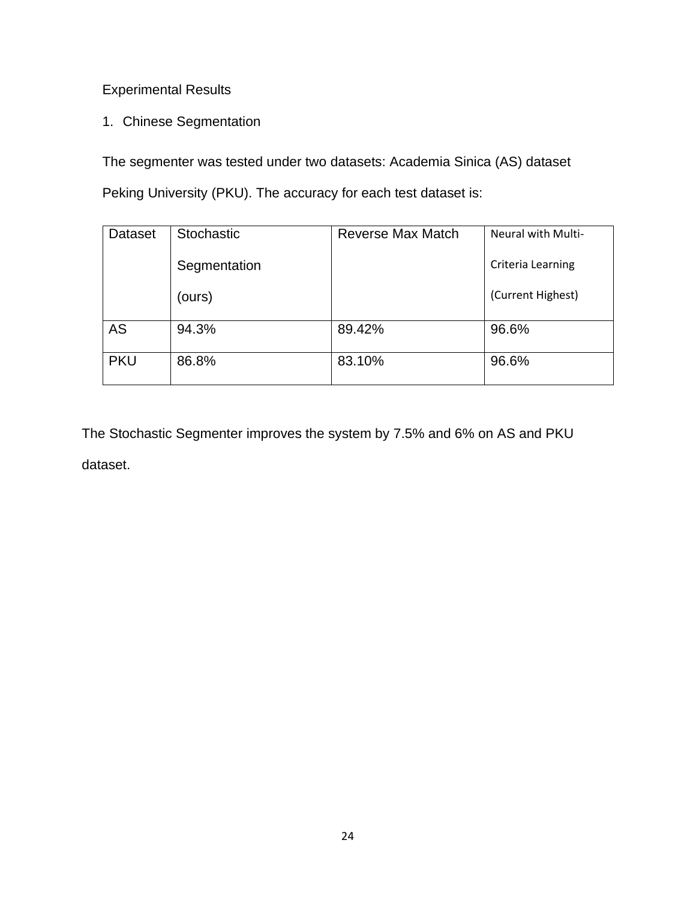# Experimental Results

1. Chinese Segmentation

The segmenter was tested under two datasets: Academia Sinica (AS) dataset Peking University (PKU). The accuracy for each test dataset is:

| Dataset    | Stochastic   | Reverse Max Match | <b>Neural with Multi-</b> |
|------------|--------------|-------------------|---------------------------|
|            | Segmentation |                   | Criteria Learning         |
|            | (ours)       |                   | (Current Highest)         |
| <b>AS</b>  | 94.3%        | 89.42%            | 96.6%                     |
| <b>PKU</b> | 86.8%        | 83.10%            | 96.6%                     |

The Stochastic Segmenter improves the system by 7.5% and 6% on AS and PKU dataset.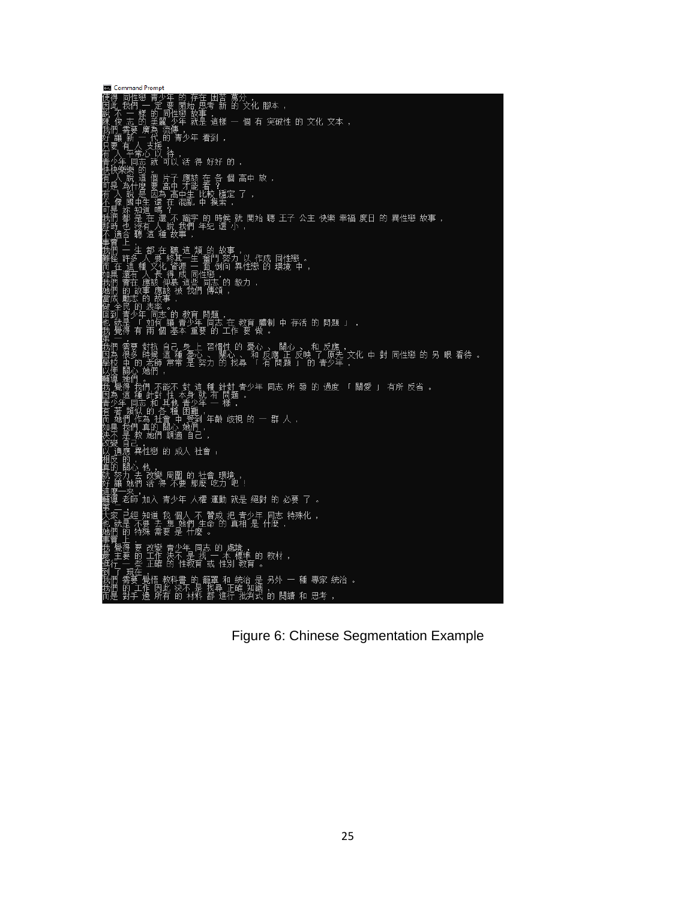| <b>Command Prompt</b>                                                                                                                                                                                                                             |
|---------------------------------------------------------------------------------------------------------------------------------------------------------------------------------------------------------------------------------------------------|
| 使得 同性戀 青少年 的 存在 困苦 萬分 ,<br>因此 我們 一 定 要 開始 思考 新 的 文化 腳本 ,<br>說 不 一 樣 的 同性戀 故事 ,<br>應 俊 志 的 美麗 少年 就是 這樣 一 個 有 突破性 的 文化 文本 ,<br>我們 雲要 廣為 滾便                                                                                                          |
|                                                                                                                                                                                                                                                   |
| 陳 俊 志 的 美麗 少年 就是 這樣 一 個 有 突破性 的 文化 文本 ,<br>好 講 新 一 代 的 傳 为少年 看到 ,<br>好 講 新 一 代 的 青少年 看到 ,<br>日要 有 人支援 ,持 , , , 在 多 伯 高 中 放 ,<br>有 少年 同志 就 可以 活 得 好好 的 ,<br>青少年 同志 就 可以 活 得 好好 的 ,<br>青少年 同志 就 可以 活 得 好好 的 ,<br>唐代·第 " , , , , , , , , , , , , , , |
|                                                                                                                                                                                                                                                   |
|                                                                                                                                                                                                                                                   |
|                                                                                                                                                                                                                                                   |
|                                                                                                                                                                                                                                                   |
|                                                                                                                                                                                                                                                   |
|                                                                                                                                                                                                                                                   |
|                                                                                                                                                                                                                                                   |
|                                                                                                                                                                                                                                                   |
| <sub>界  — .</sub><br>大家 已經 知道 我 個人 不 贊成 把 青少年 同志 特殊化 ,<br>也 就是 不要 去 想 她們 生命 的 真相 是 什麼 ,<br>她 <u>們</u> 的 特殊 需要 是 什麼 。                                                                                                                              |
| 事實<br>我覺主行<br>最佳<br>,要 改變 青少年 同志 的 處境<br>的 工作 決不 是 找 一 本 標準 的 教材 ,<br>些 正確 的 性教育 或 性別 教育 。                                                                                                                                                        |
| 5] _ 국 _ 프로그램 프랑스 BX EAR 카지 ><br>我們 需要 覺悟 教科書 的 籠罩 和 統治 是 另外 一 種 專家 統治 。<br>我們 需要 覺悟 教科書 的 籠罩 正確 知識 ,<br>而是 對手 邊 所有 的 抹料 邦 谁行 掛判式 的 開讀 和 甲孝                                                                                                       |

Figure 6: Chinese Segmentation Example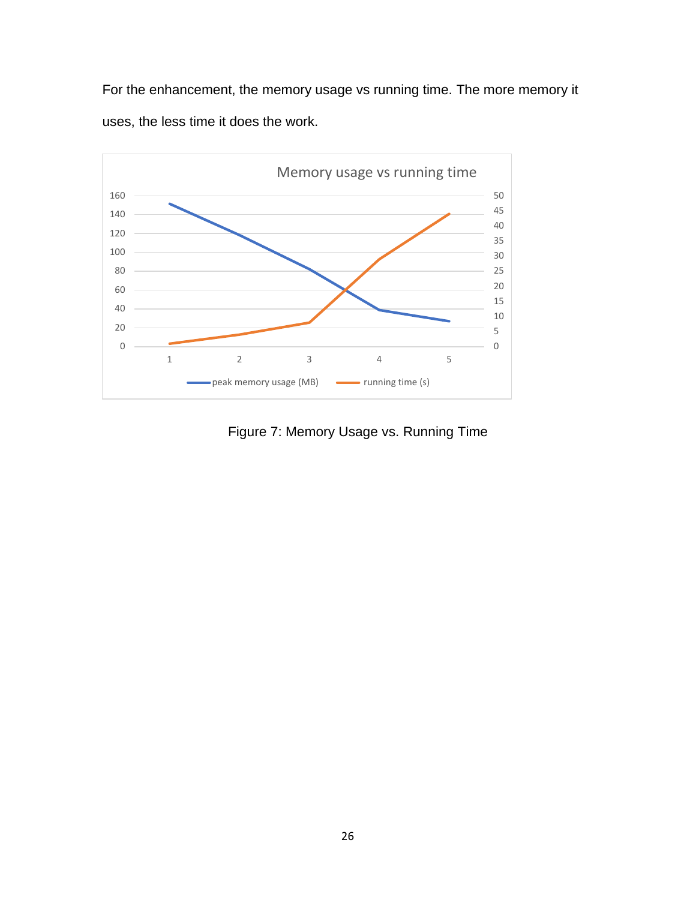For the enhancement, the memory usage vs running time. The more memory it uses, the less time it does the work.



Figure 7: Memory Usage vs. Running Time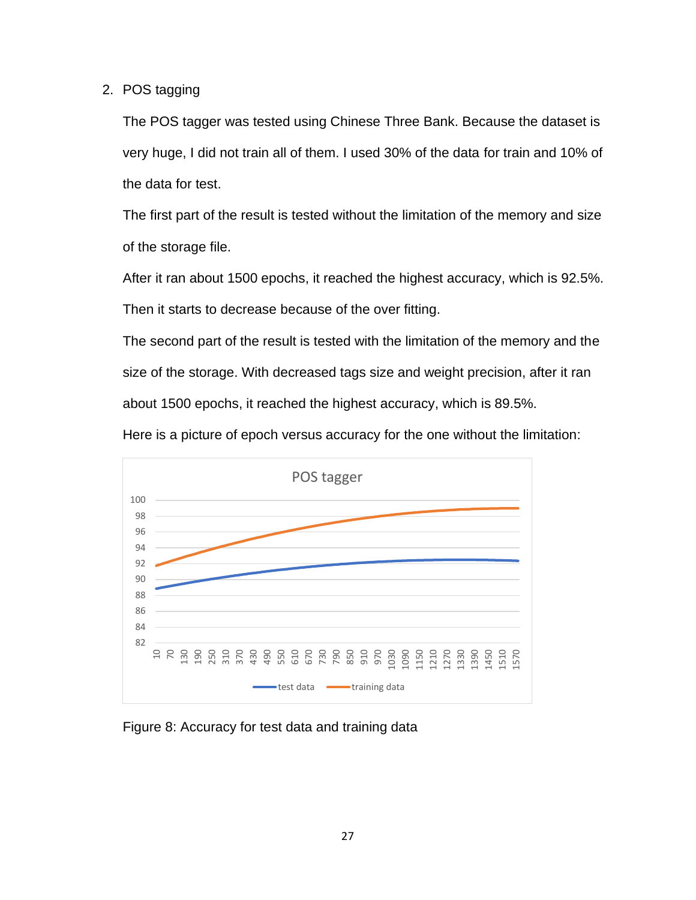2. POS tagging

The POS tagger was tested using Chinese Three Bank. Because the dataset is very huge, I did not train all of them. I used 30% of the data for train and 10% of the data for test.

The first part of the result is tested without the limitation of the memory and size of the storage file.

After it ran about 1500 epochs, it reached the highest accuracy, which is 92.5%. Then it starts to decrease because of the over fitting.

The second part of the result is tested with the limitation of the memory and the size of the storage. With decreased tags size and weight precision, after it ran about 1500 epochs, it reached the highest accuracy, which is 89.5%.

Here is a picture of epoch versus accuracy for the one without the limitation:



Figure 8: Accuracy for test data and training data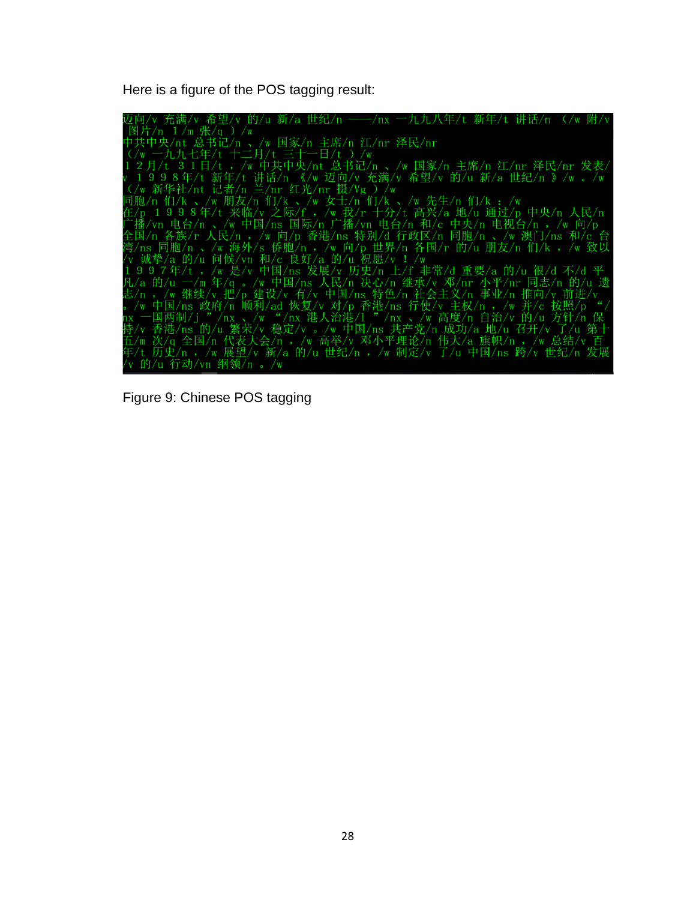Here is a figure of the POS tagging result:

辺向/v 充満/v 希望/v 的/u 新/a 世纪/n 一一/nx 一九九八年/t 新年/t 讲话/n (/w 附/y 附<br>|图片/n 1/m 张/q )/w 国家/n 主席/n 江/nr 泽民/nr<br>|中共中央/nt 总书记/n 、/w 国家/n 主席/n 江/nr 泽民/nr<br>|イマー九九七年/t 十二月/t 三十一日/t )/w<br>|中共中央/nt 法书记/n 、/w 国家/n 主席/n 江所 洋民/nr 洋民/nr 洋民/nr 希望/v 的/u 新/a 世纪/n · 九九八年/t 新年/t 讲话/n (/w 附/ 的/u 行动/vn 纲领/n 。/w

Figure 9: Chinese POS tagging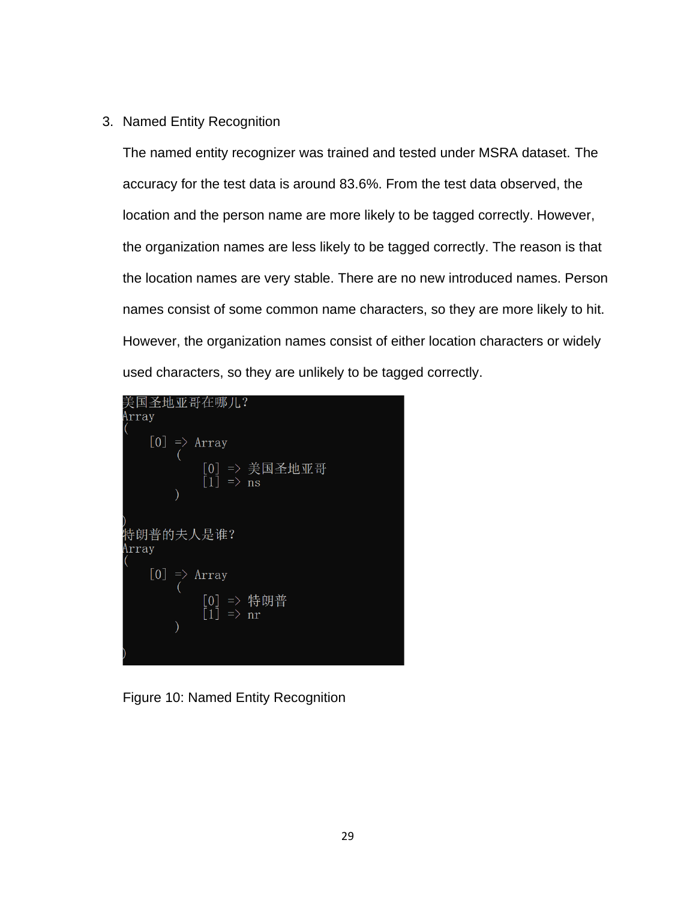# 3. Named Entity Recognition

The named entity recognizer was trained and tested under MSRA dataset. The accuracy for the test data is around 83.6%. From the test data observed, the location and the person name are more likely to be tagged correctly. However, the organization names are less likely to be tagged correctly. The reason is that the location names are very stable. There are no new introduced names. Person names consist of some common name characters, so they are more likely to hit. However, the organization names consist of either location characters or widely used characters, so they are unlikely to be tagged correctly.



Figure 10: Named Entity Recognition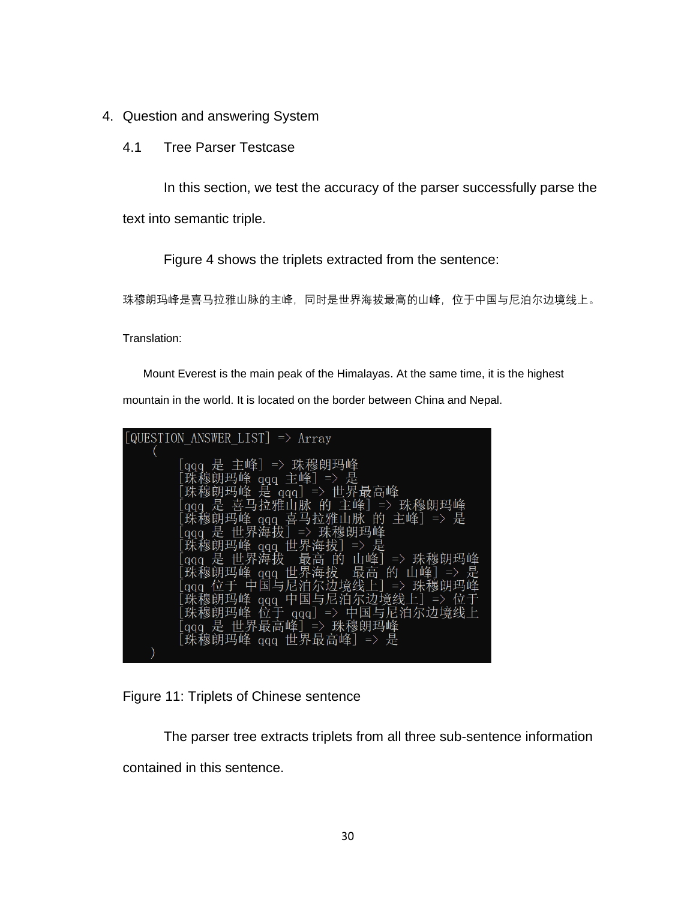- 4. Question and answering System
	- 4.1 Tree Parser Testcase

In this section, we test the accuracy of the parser successfully parse the text into semantic triple.

Figure 4 shows the triplets extracted from the sentence:

珠穆朗玛峰是喜马拉雅山脉的主峰,同时是世界海拔最高的山峰,位于中国与尼泊尔边境线上。

Translation:

Mount Everest is the main peak of the Himalayas. At the same time, it is the highest

mountain in the world. It is located on the border between China and Nepal.

| [QUESTION ANSWER LIST] $\Rightarrow$ Array                   |
|--------------------------------------------------------------|
|                                                              |
| [qqq 是 主峰]=> 珠穆朗玛峰                                           |
| [珠穆朗玛峰 qqq 主峰]=> 是<br>[珠穆朗玛峰 是 qqq]=> 世界最高峰                  |
| [qqq 是 喜马拉雅山脉 的 主峰]=> 珠穆朗玛峰                                  |
| [珠穆朗玛峰 qqq 喜马拉雅山脉 的 主峰] => 是                                 |
| [qqq 是 世界海拔] => 珠穆朗玛峰                                        |
| [珠穆朗玛峰 qqq 世界海拔]=> 是                                         |
| [gqq 是 世界海拔 最高 的 山峰] => 珠穆朗玛峰                                |
| [珠穆朗玛峰 qqq 世界海拔 最高 的 山峰]=> 是<br>[qqq 位于 中国与尼泊尔边境线上] => 珠穆朗玛峰 |
| [珠穆朗玛峰 qqq 中国与尼泊尔边境线上] => 位于                                 |
| [珠穆朗玛峰 位于 qqq] => 中国与尼泊尔边境线上                                 |
| [qqq 是 世界最高峰] => 珠穆朗玛峰                                       |
| [珠穆朗玛峰 qqq 世界最高峰]=> 是                                        |
|                                                              |

Figure 11: Triplets of Chinese sentence

The parser tree extracts triplets from all three sub-sentence information

contained in this sentence.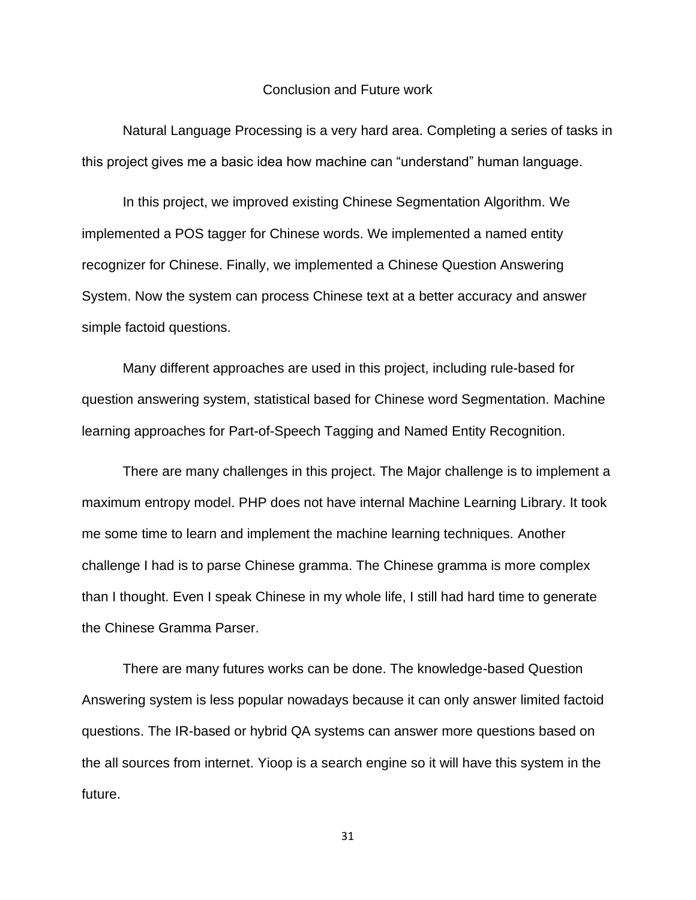#### Conclusion and Future work

Natural Language Processing is a very hard area. Completing a series of tasks in this project gives me a basic idea how machine can "understand" human language.

In this project, we improved existing Chinese Segmentation Algorithm. We implemented a POS tagger for Chinese words. We implemented a named entity recognizer for Chinese. Finally, we implemented a Chinese Question Answering System. Now the system can process Chinese text at a better accuracy and answer simple factoid questions.

Many different approaches are used in this project, including rule-based for question answering system, statistical based for Chinese word Segmentation. Machine learning approaches for Part-of-Speech Tagging and Named Entity Recognition.

There are many challenges in this project. The Major challenge is to implement a maximum entropy model. PHP does not have internal Machine Learning Library. It took me some time to learn and implement the machine learning techniques. Another challenge I had is to parse Chinese gramma. The Chinese gramma is more complex than I thought. Even I speak Chinese in my whole life, I still had hard time to generate the Chinese Gramma Parser.

There are many futures works can be done. The knowledge-based Question Answering system is less popular nowadays because it can only answer limited factoid questions. The IR-based or hybrid QA systems can answer more questions based on the all sources from internet. Yioop is a search engine so it will have this system in the future.